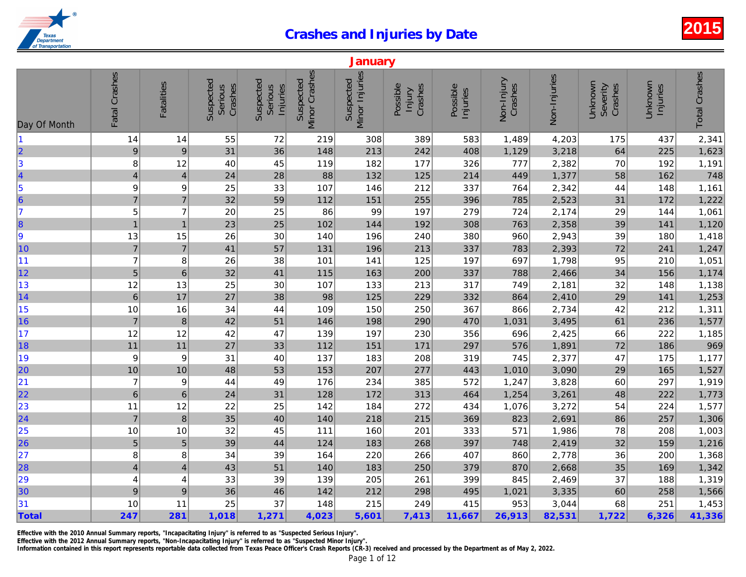|                                                               |                          |                         |                                 |                                  |                            | January                     |                               |                      |                       |              |
|---------------------------------------------------------------|--------------------------|-------------------------|---------------------------------|----------------------------------|----------------------------|-----------------------------|-------------------------------|----------------------|-----------------------|--------------|
| Day Of Month                                                  | Fatal Crashes            | <b>Fatalities</b>       | Suspected<br>Crashes<br>Serious | Suspected<br>Serious<br>Injuries | Minor Crashes<br>Suspected | Minor Injuries<br>Suspected | Possible<br>Crashes<br>Injury | Possible<br>Injuries | Non-Injury<br>Crashes | Non-Injuries |
| 11                                                            | 14                       | 14                      | 55                              | 72                               | 219                        | 308                         | 389                           | 583                  | 1,489                 | 4,203        |
| $\begin{array}{c}\n 2 \\  3\n \end{array}$                    | $\overline{9}$           | $\overline{9}$          | 31                              | 36                               | 148                        | 213                         | 242                           | 408                  | 1,129                 | 3,218        |
|                                                               | 8                        | 12                      | 40                              | 45                               | 119                        | 182                         | 177                           | 326                  | 777                   | 2,382        |
| 4                                                             | $\overline{\mathcal{L}}$ | $\overline{\mathbf{4}}$ | 24                              | 28                               | 88                         | 132                         | 125                           | 214                  | 449                   | 1,377        |
|                                                               | $\boldsymbol{9}$         | 9                       | 25                              | 33                               | 107                        | 146                         | 212                           | 337                  | 764                   | 2,342        |
| $\begin{array}{c} 5 \\ 6 \\ 7 \end{array}$                    | $\overline{7}$           | $\overline{7}$          | 32                              | 59                               | 112                        | 151                         | 255                           | 396                  | 785                   | 2,523        |
|                                                               | 5                        | 7                       | 20                              | 25                               | 86                         | 99                          | 197                           | 279                  | 724                   | 2,174        |
| 8                                                             | $\overline{1}$           | $\overline{1}$          | 23                              | 25                               | 102                        | 144                         | 192                           | 308                  | 763                   | 2,358        |
| 9                                                             | 13                       | 15                      | 26                              | 30                               | 140                        | 196                         | 240                           | 380                  | 960                   | 2,943        |
| 10                                                            | $\overline{7}$           | $\overline{7}$          | 41                              | 57                               | 131                        | 196                         | 213                           | 337                  | 783                   | 2,393        |
| 11                                                            | $\overline{7}$           | 8                       | 26                              | 38                               | 101                        | 141                         | 125                           | 197                  | 697                   | 1,798        |
| 12                                                            | 5                        | $6\phantom{1}$          | 32                              | 41                               | 115                        | 163                         | 200                           | 337                  | 788                   | 2,466        |
| 13                                                            | 12                       | 13                      | 25                              | 30                               | 107                        | 133                         | 213                           | 317                  | 749                   | 2,181        |
| 14                                                            | $\,$ 6 $\,$              | 17                      | 27                              | 38                               | 98                         | 125                         | 229                           | 332                  | 864                   | 2,410        |
| 15                                                            | 10                       | 16                      | 34                              | 44                               | 109                        | 150                         | 250                           | 367                  | 866                   | 2,734        |
| 16                                                            | $\overline{7}$           | $\, 8$                  | 42                              | 51                               | 146                        | 198                         | 290                           | 470                  | 1,031                 | 3,495        |
| 17                                                            | 12                       | 12                      | 42                              | 47                               | 139                        | 197                         | 230                           | 356                  | 696                   | 2,425        |
| 18                                                            | $11$                     | 11                      | 27                              | 33                               | 112                        | 151                         | 171                           | 297                  | 576                   | 1,891        |
| 19                                                            | 9                        | 9                       | 31                              | 40                               | 137                        | 183                         | 208                           | 319                  | 745                   | 2,377        |
| 20                                                            | 10                       | $10$                    | 48                              | 53                               | 153                        | 207                         | 277                           | 443                  | 1,010                 | 3,090        |
| 21                                                            | $\overline{7}$           | 9                       | 44                              | 49                               | 176                        | 234                         | 385                           | 572                  | 1,247                 | 3,828        |
| 22                                                            | $\,$ 6 $\,$              | $\,$ 6                  | 24                              | 31                               | 128                        | 172                         | 313                           | 464                  | 1,254                 | 3,261        |
| 23                                                            | 11                       | 12                      | 22                              | 25                               | 142                        | 184                         | 272                           | 434                  | 1,076                 | 3,272        |
| $\overline{24}$                                               | $\overline{7}$           | $\boldsymbol{8}$        | 35                              | 40                               | 140                        | 218                         | 215                           | 369                  | 823                   | 2,691        |
| $\begin{array}{ c c }\n\hline\n25 \\ \hline\n26\n\end{array}$ | 10                       | 10                      | 32                              | 45                               | 111                        | 160                         | 201                           | 333                  | 571                   | 1,986        |
|                                                               | 5                        | 5                       | 39                              | 44                               | 124                        | 183                         | 268                           | 397                  | 748                   | 2,419        |
| 27                                                            | 8                        | 8                       | 34                              | 39                               | 164                        | 220                         | 266                           | 407                  | 860                   | 2,778        |
| 28                                                            | $\overline{\mathcal{L}}$ | $\overline{4}$          | 43                              | 51                               | 140                        | 183                         | 250                           | 379                  | 870                   | 2,668        |
| 29                                                            | $\overline{4}$           | 4                       | 33                              | 39                               | 139                        | 205                         | 261                           | 399                  | 845                   | 2,469        |
| 30                                                            | $\boldsymbol{9}$         | $\boldsymbol{9}$        | 36                              | 46                               | 142                        | 212                         | 298                           | 495                  | 1,021                 | 3,335        |
| 31                                                            | 10                       | 11                      | 25                              | 37                               | 148                        | 215                         | 249                           | 415                  | 953                   | 3,044        |
| Total                                                         | 247                      | 281                     | 1,018                           | 1,271                            | 4,023                      | 5,601                       | 7,413                         | 11,667               | 26,913                | 82,531       |

Effective with the 2010 Annual Summary reports, "Incapacitating Injury" is referred to as "Suspected Serious Injury".

Effective with the 2012 Annual Summary reports, "Non-Incapacitating Injury" is referred to as "Suspected Minor Injury".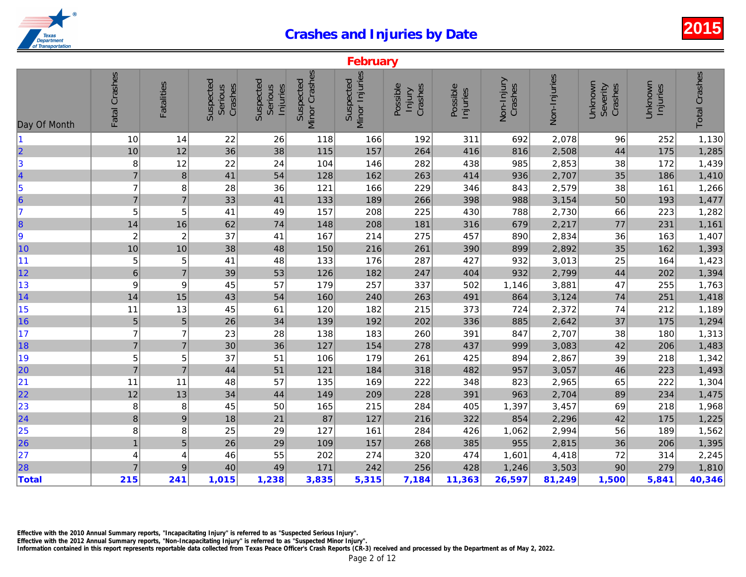|                         | February         |                   |                                 |                                  |                            |                             |                               |                      |                       |              |  |  |
|-------------------------|------------------|-------------------|---------------------------------|----------------------------------|----------------------------|-----------------------------|-------------------------------|----------------------|-----------------------|--------------|--|--|
| Day Of Month            | Fatal Crashes    | <b>Fatalities</b> | Suspected<br>Crashes<br>Serious | Suspected<br>Serious<br>Injuries | Minor Crashes<br>Suspected | Minor Injuries<br>Suspected | Possible<br>Crashes<br>Injury | Possible<br>Injuries | Non-Injury<br>Crashes | Non-Injuries |  |  |
|                         | 10               | 14                | 22                              | 26                               | 118                        | 166                         | 192                           | 311                  | 692                   | 2,078        |  |  |
| <sub>2</sub>            | 10               | 12                | 36                              | 38                               | 115                        | 157                         | 264                           | 416                  | 816                   | 2,508        |  |  |
| $ 3\rangle$             | 8                | 12                | 22                              | 24                               | 104                        | 146                         | 282                           | 438                  | 985                   | 2,853        |  |  |
| 4                       | $\overline{7}$   | 8                 | 41                              | 54                               | 128                        | 162                         | 263                           | 414                  | 936                   | 2,707        |  |  |
| $\vert$ 5               | $\overline{7}$   | 8                 | 28                              | 36                               | 121                        | 166                         | 229                           | 346                  | 843                   | 2,579        |  |  |
| $\overline{\mathbf{6}}$ | $\overline{7}$   | $\overline{7}$    | 33                              | 41                               | 133                        | 189                         | 266                           | 398                  | 988                   | 3,154        |  |  |
| $\overline{7}$          | 5                | 5                 | 41                              | 49                               | 157                        | 208                         | 225                           | 430                  | 788                   | 2,730        |  |  |
| $\vert$ 8               | 14               | 16                | 62                              | 74                               | 148                        | 208                         | 181                           | 316                  | 679                   | 2,217        |  |  |
| 9                       | $\overline{c}$   | $\overline{c}$    | 37                              | 41                               | 167                        | 214                         | 275                           | 457                  | 890                   | 2,834        |  |  |
| 10                      | 10               | 10                | 38                              | 48                               | 150                        | 216                         | 261                           | 390                  | 899                   | 2,892        |  |  |
| 11                      | 5                | 5                 | 41                              | 48                               | 133                        | 176                         | 287                           | 427                  | 932                   | 3,013        |  |  |
| 12                      | $\,$ 6 $\,$      | $\overline{7}$    | 39                              | 53                               | 126                        | 182                         | 247                           | 404                  | 932                   | 2,799        |  |  |
| 13                      | 9                | 9                 | 45                              | 57                               | 179                        | 257                         | 337                           | 502                  | 1,146                 | 3,881        |  |  |
| 14                      | 14               | 15                | 43                              | 54                               | 160                        | 240                         | 263                           | 491                  | 864                   | 3,124        |  |  |
| 15                      | 11               | 13                | 45                              | 61                               | 120                        | 182                         | 215                           | 373                  | 724                   | 2,372        |  |  |
| 16                      | 5                | 5                 | 26                              | 34                               | 139                        | 192                         | 202                           | 336                  | 885                   | 2,642        |  |  |
| 17                      | $\overline{7}$   | $\overline{7}$    | 23                              | 28                               | 138                        | 183                         | 260                           | 391                  | 847                   | 2,707        |  |  |
| 18                      | $\overline{7}$   | $\overline{7}$    | $30\,$                          | 36                               | 127                        | 154                         | 278                           | 437                  | 999                   | 3,083        |  |  |
| 19                      | 5                | 5                 | 37                              | 51                               | 106                        | 179                         | 261                           | 425                  | 894                   | 2,867        |  |  |
| 20                      | $\overline{7}$   | $\overline{7}$    | 44                              | 51                               | 121                        | 184                         | 318                           | 482                  | 957                   | 3,057        |  |  |
| 21                      | 11               | 11                | 48                              | 57                               | 135                        | 169                         | 222                           | 348                  | 823                   | 2,965        |  |  |
| 22                      | 12               | 13                | 34                              | 44                               | 149                        | 209                         | 228                           | 391                  | 963                   | 2,704        |  |  |
| 23                      | 8                | 8                 | 45                              | 50                               | 165                        | 215                         | 284                           | 405                  | 1,397                 | 3,457        |  |  |
| $\overline{24}$         | $\boldsymbol{8}$ | $\boldsymbol{9}$  | 18                              | 21                               | 87                         | 127                         | 216                           | 322                  | 854                   | 2,296        |  |  |
| 25                      | 8                | 8                 | 25                              | 29                               | 127                        | 161                         | 284                           | 426                  | 1,062                 | 2,994        |  |  |
| 26                      | $\mathbf{1}$     | 5                 | 26                              | 29                               | 109                        | 157                         | 268                           | 385                  | 955                   | 2,815        |  |  |
| 27                      | 4                | 4                 | 46                              | 55                               | 202                        | 274                         | 320                           | 474                  | 1,601                 | 4,418        |  |  |
| 28                      | $\overline{7}$   | 9                 | 40                              | 49                               | 171                        | 242                         | 256                           | 428                  | 1,246                 | 3,503        |  |  |
| <b>Total</b>            | 215              | 241               | 1,015                           | 1,238                            | 3,835                      | 5,315                       | 7,184                         | 11,363               | 26,597                | 81,249       |  |  |

Effective with the 2010 Annual Summary reports, "Incapacitating Injury" is referred to as "Suspected Serious Injury".

Effective with the 2012 Annual Summary reports, "Non-Incapacitating Injury" is referred to as "Suspected Minor Injury".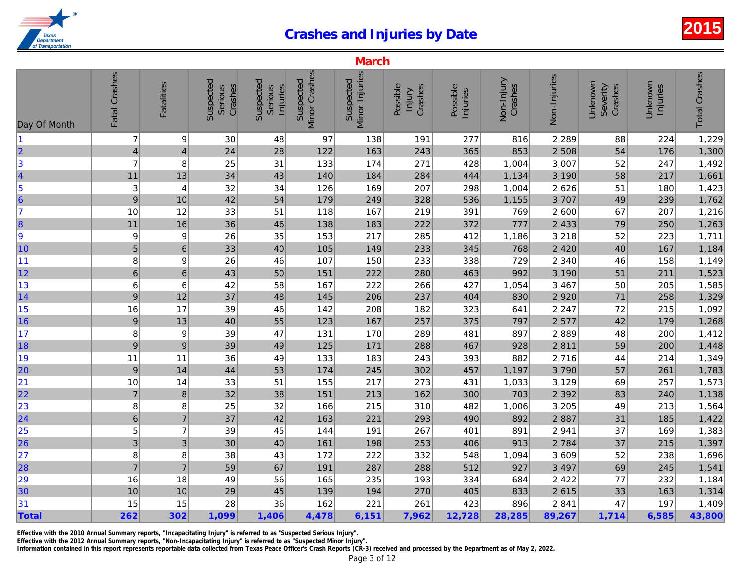|                                                       |                           |                   |                                 |                                  |                            | <b>March</b>                |                               |                      |                       |              |
|-------------------------------------------------------|---------------------------|-------------------|---------------------------------|----------------------------------|----------------------------|-----------------------------|-------------------------------|----------------------|-----------------------|--------------|
| Day Of Month                                          | Fatal Crashes             | <b>Fatalities</b> | Suspected<br>Crashes<br>Serious | Suspected<br>Serious<br>Injuries | Minor Crashes<br>Suspected | Minor Injuries<br>Suspected | Possible<br>Crashes<br>Injury | Possible<br>Injuries | Non-Injury<br>Crashes | Non-Injuries |
| $\vert$ 1                                             | $\overline{7}$            | 9                 | 30                              | 48                               | 97                         | 138                         | 191                           | 277                  | 816                   | 2,289        |
| $\overline{\mathbf{2}}$                               | $\overline{\mathcal{L}}$  | $\overline{4}$    | 24                              | 28                               | 122                        | 163                         | 243                           | 365                  | 853                   | 2,508        |
| $\vert$ 3                                             | $\overline{7}$            | 8                 | 25                              | 31                               | 133                        | 174                         | 271                           | 428                  | 1,004                 | 3,007        |
| $\begin{array}{c}\n4 \\ 5 \\ 6\n\end{array}$          | 11                        | 13                | 34                              | 43                               | 140                        | 184                         | 284                           | 444                  | 1,134                 | 3,190        |
|                                                       | 3                         | 4                 | 32                              | 34                               | 126                        | 169                         | 207                           | 298                  | 1,004                 | 2,626        |
|                                                       | 9                         | 10                | 42                              | 54                               | 179                        | 249                         | 328                           | 536                  | 1,155                 | 3,707        |
| 17                                                    | 10                        | 12                | 33                              | 51                               | 118                        | 167                         | 219                           | 391                  | 769                   | 2,600        |
| 8                                                     | 11                        | 16                | 36                              | 46                               | 138                        | 183                         | 222                           | 372                  | 777                   | 2,433        |
| 9                                                     | 9                         | 9                 | 26                              | 35                               | 153                        | 217                         | 285                           | 412                  | 1,186                 | 3,218        |
| 10                                                    | 5                         | $\,6\,$           | 33                              | 40                               | 105                        | 149                         | 233                           | 345                  | 768                   | 2,420        |
| 11                                                    | 8                         | 9                 | 26                              | 46                               | 107                        | 150                         | 233                           | 338                  | 729                   | 2,340        |
| 12                                                    | $\,$ 6 $\,$               | $6\phantom{1}$    | 43                              | 50                               | 151                        | 222                         | 280                           | 463                  | 992                   | 3,190        |
| 13                                                    | 6                         | 6                 | 42                              | 58                               | 167                        | 222                         | 266                           | 427                  | 1,054                 | 3,467        |
| 14                                                    | 9                         | 12                | 37                              | 48                               | 145                        | 206                         | 237                           | 404                  | 830                   | 2,920        |
| 15                                                    | 16                        | 17                | 39                              | 46                               | 142                        | 208                         | 182                           | 323                  | 641                   | 2,247        |
| 16                                                    | $\boldsymbol{9}$          | 13                | 40                              | 55                               | 123                        | 167                         | 257                           | 375                  | 797                   | 2,577        |
| 17                                                    | 8                         | 9                 | 39                              | 47                               | 131                        | 170                         | 289                           | 481                  | 897                   | 2,889        |
| 18                                                    | $\boldsymbol{9}$          | $\boldsymbol{9}$  | 39                              | 49                               | 125                        | 171                         | 288                           | 467                  | 928                   | 2,811        |
| 19                                                    | 11                        | 11                | 36                              | 49                               | 133                        | 183                         | 243                           | 393                  | 882                   | 2,716        |
| 20                                                    | 9                         | 14                | 44                              | 53                               | 174                        | 245                         | 302                           | 457                  | 1,197                 | 3,790        |
| 21                                                    | 10                        | 14                | 33                              | 51                               | 155                        | 217                         | 273                           | 431                  | 1,033                 | 3,129        |
| 22                                                    | $\overline{7}$            | $\bf 8$           | 32                              | 38                               | 151                        | 213                         | 162                           | 300                  | 703                   | 2,392        |
| 23                                                    | 8                         | 8                 | 25                              | 32                               | 166                        | 215                         | 310                           | 482                  | 1,006                 | 3,205        |
| $\overline{24}$                                       | $\overline{6}$            | $\overline{7}$    | 37                              | 42                               | 163                        | 221                         | 293                           | 490                  | 892                   | 2,887        |
|                                                       | 5                         | $\overline{7}$    | 39                              | 45                               | 144                        | 191                         | 267                           | 401                  | 891                   | 2,941        |
| $\begin{array}{r} \n \boxed{25} \\  26\n \end{array}$ | $\ensuremath{\mathsf{3}}$ | 3                 | 30                              | 40                               | 161                        | 198                         | 253                           | 406                  | 913                   | 2,784        |
| 27                                                    | 8                         | 8                 | 38                              | 43                               | 172                        | 222                         | 332                           | 548                  | 1,094                 | 3,609        |
| 28                                                    | $\overline{7}$            | $\overline{7}$    | 59                              | 67                               | 191                        | 287                         | 288                           | 512                  | 927                   | 3,497        |
| 29                                                    | 16                        | 18                | 49                              | 56                               | 165                        | 235                         | 193                           | 334                  | 684                   | 2,422        |
| 30                                                    | 10                        | 10                | 29                              | 45                               | 139                        | 194                         | 270                           | 405                  | 833                   | 2,615        |
| 31                                                    | 15                        | 15                | 28                              | 36                               | 162                        | 221                         | 261                           | 423                  | 896                   | 2,841        |
| Total                                                 | 262                       | 302               | 1,099                           | 1,406                            | 4,478                      | 6,151                       | 7,962                         | 12,728               | 28,285                | 89,267       |

Effective with the 2010 Annual Summary reports, "Incapacitating Injury" is referred to as "Suspected Serious Injury".

Effective with the 2012 Annual Summary reports, "Non-Incapacitating Injury" is referred to as "Suspected Minor Injury".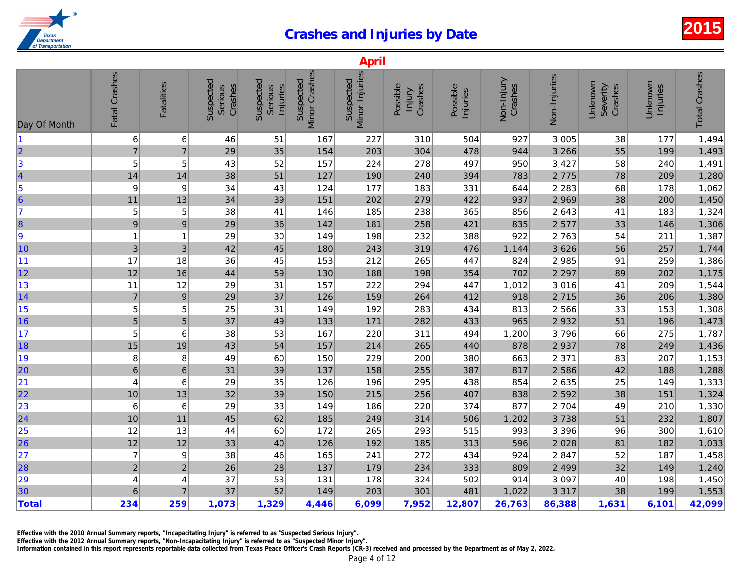|                                                          |                  |                   |                                 |                                  |                            | April                       |                               |                      |                       |              |
|----------------------------------------------------------|------------------|-------------------|---------------------------------|----------------------------------|----------------------------|-----------------------------|-------------------------------|----------------------|-----------------------|--------------|
| Day Of Month                                             | Fatal Crashes    | <b>Fatalities</b> | Suspected<br>Crashes<br>Serious | Suspected<br>Serious<br>Injuries | Minor Crashes<br>Suspected | Minor Injuries<br>Suspected | Possible<br>Crashes<br>Injury | Possible<br>Injuries | Non-Injury<br>Crashes | Non-Injuries |
| 11                                                       | 6                | 6                 | 46                              | 51                               | 167                        | 227                         | 310                           | 504                  | 927                   | 3,005        |
| $\begin{array}{c c} 2 & 3 \\ 3 & 4 \\ 5 & 6 \end{array}$ | $\overline{7}$   | $\overline{7}$    | 29                              | 35                               | 154                        | 203                         | 304                           | 478                  | 944                   | 3,266        |
|                                                          | 5                | 5                 | 43                              | 52                               | 157                        | 224                         | 278                           | 497                  | 950                   | 3,427        |
|                                                          | 14               | 14                | 38                              | 51                               | 127                        | 190                         | 240                           | 394                  | 783                   | 2,775        |
|                                                          | 9                | 9                 | 34                              | 43                               | 124                        | 177                         | 183                           | 331                  | 644                   | 2,283        |
|                                                          | 11               | 13                | 34                              | 39                               | 151                        | 202                         | 279                           | 422                  | 937                   | 2,969        |
| 7                                                        | 5                | 5                 | 38                              | 41                               | 146                        | 185                         | 238                           | 365                  | 856                   | 2,643        |
| 8                                                        | $\boldsymbol{9}$ | $\boldsymbol{9}$  | 29                              | 36                               | 142                        | 181                         | 258                           | 421                  | 835                   | 2,577        |
| 9                                                        | $\mathbf 1$      | 1                 | 29                              | 30                               | 149                        | 198                         | 232                           | 388                  | 922                   | 2,763        |
| 10                                                       | $\mathbf{3}$     | $\sqrt{3}$        | 42                              | 45                               | 180                        | 243                         | 319                           | 476                  | 1,144                 | 3,626        |
| 11                                                       | 17               | 18                | 36                              | 45                               | 153                        | 212                         | 265                           | 447                  | 824                   | 2,985        |
| 12                                                       | 12               | 16                | 44                              | 59                               | 130                        | 188                         | 198                           | 354                  | 702                   | 2,297        |
| 13                                                       | 11               | 12                | 29                              | 31                               | 157                        | 222                         | 294                           | 447                  | 1,012                 | 3,016        |
| 14                                                       | $\overline{7}$   | $\boldsymbol{9}$  | 29                              | 37                               | 126                        | 159                         | 264                           | 412                  | 918                   | 2,715        |
| 15                                                       | 5                | 5                 | 25                              | 31                               | 149                        | 192                         | 283                           | 434                  | 813                   | 2,566        |
| 16                                                       | $\overline{5}$   | $\sqrt{5}$        | 37                              | 49                               | 133                        | 171                         | 282                           | 433                  | 965                   | 2,932        |
| 17                                                       | 5                | 6                 | 38                              | 53                               | 167                        | 220                         | 311                           | 494                  | 1,200                 | 3,796        |
| 18                                                       | 15               | 19                | 43                              | 54                               | 157                        | 214                         | 265                           | 440                  | 878                   | 2,937        |
| 19                                                       | 8                | 8                 | 49                              | 60                               | 150                        | 229                         | 200                           | 380                  | 663                   | 2,371        |
| 20                                                       | $\,$ 6 $\,$      | $\,6\,$           | 31                              | 39                               | 137                        | 158                         | 255                           | 387                  | 817                   | 2,586        |
| 21                                                       | 4                | 6                 | 29                              | 35                               | 126                        | 196                         | 295                           | 438                  | 854                   | 2,635        |
| 22                                                       | 10               | 13                | 32                              | 39                               | 150                        | 215                         | 256                           | 407                  | 838                   | 2,592        |
| 23                                                       | 6                | $\,6$             | 29                              | 33                               | 149                        | 186                         | 220                           | 374                  | 877                   | 2,704        |
| $\overline{24}$                                          | 10               | 11                | 45                              | 62                               | 185                        | 249                         | 314                           | 506                  | 1,202                 | 3,738        |
|                                                          | 12               | 13                | 44                              | 60                               | 172                        | 265                         | 293                           | 515                  | 993                   | 3,396        |
| 25<br>26                                                 | 12               | 12                | 33                              | 40                               | 126                        | 192                         | 185                           | 313                  | 596                   | 2,028        |
| 27                                                       | $\overline{7}$   | 9                 | 38                              | 46                               | 165                        | 241                         | 272                           | 434                  | 924                   | 2,847        |
| 28                                                       | $\mathbf 2$      | $\boldsymbol{2}$  | 26                              | 28                               | 137                        | 179                         | 234                           | 333                  | 809                   | 2,499        |
| 29                                                       | 4                | 4                 | 37                              | 53                               | 131                        | 178                         | 324                           | 502                  | 914                   | 3,097        |
| 30                                                       | 6                | $\overline{7}$    | 37                              | 52                               | 149                        | 203                         | 301                           | 481                  | 1,022                 | 3,317        |
| Total                                                    | 234              | 259               | 1,073                           | 1,329                            | 4,446                      | 6,099                       | 7,952                         | 12,807               | 26,763                | 86,388       |
|                                                          |                  |                   |                                 |                                  |                            |                             |                               |                      |                       |              |

Effective with the 2010 Annual Summary reports, "Incapacitating Injury" is referred to as "Suspected Serious Injury".

Effective with the 2012 Annual Summary reports, "Non-Incapacitating Injury" is referred to as "Suspected Minor Injury".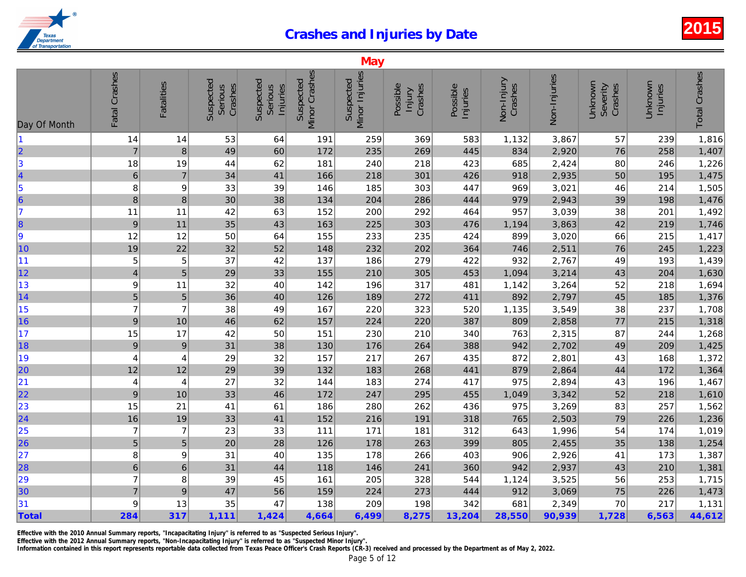| Minor Crashes<br>Fatal Crashes<br>Minor Injuries<br>Non-Injuries<br>Suspected<br>Suspected<br>Suspected<br>Suspected<br>Non-Injury<br><b>Fatalities</b><br>Crashes<br>Possible<br>Crashes<br>Crashes<br>Serious<br>Possible<br>Serious<br>Injuries<br>lnjury<br>Injuries<br>Day Of Month<br>53<br>369<br>583<br>1,132<br>3,867<br>$\vert$ 1<br>14<br>191<br>259<br>14<br>64<br>$\overline{\mathbf{2}}$<br>834<br>2,920<br>$\overline{7}$<br>$\boldsymbol{8}$<br>49<br>60<br>172<br>235<br>269<br>445<br>$\begin{array}{c} 3 \\ 4 \\ 5 \\ 6 \end{array}$<br>2,424<br>18<br>19<br>44<br>62<br>181<br>240<br>218<br>423<br>685<br>$\,$ 6 $\,$<br>$\overline{7}$<br>2,935<br>34<br>41<br>166<br>218<br>301<br>426<br>918 |
|----------------------------------------------------------------------------------------------------------------------------------------------------------------------------------------------------------------------------------------------------------------------------------------------------------------------------------------------------------------------------------------------------------------------------------------------------------------------------------------------------------------------------------------------------------------------------------------------------------------------------------------------------------------------------------------------------------------------|
|                                                                                                                                                                                                                                                                                                                                                                                                                                                                                                                                                                                                                                                                                                                      |
|                                                                                                                                                                                                                                                                                                                                                                                                                                                                                                                                                                                                                                                                                                                      |
|                                                                                                                                                                                                                                                                                                                                                                                                                                                                                                                                                                                                                                                                                                                      |
|                                                                                                                                                                                                                                                                                                                                                                                                                                                                                                                                                                                                                                                                                                                      |
|                                                                                                                                                                                                                                                                                                                                                                                                                                                                                                                                                                                                                                                                                                                      |
| 8<br>33<br>39<br>185<br>447<br>969<br>3,021<br>9<br>146<br>303                                                                                                                                                                                                                                                                                                                                                                                                                                                                                                                                                                                                                                                       |
| 8<br>8<br>30<br>38<br>2,943<br>134<br>204<br>286<br>444<br>979                                                                                                                                                                                                                                                                                                                                                                                                                                                                                                                                                                                                                                                       |
| 17<br>42<br>200<br>292<br>957<br>3,039<br>11<br>63<br>152<br>464<br>11                                                                                                                                                                                                                                                                                                                                                                                                                                                                                                                                                                                                                                               |
| $\begin{array}{c} 8 \\ 9 \end{array}$<br>3,863<br>35<br>9<br>11<br>43<br>163<br>225<br>303<br>476<br>1,194                                                                                                                                                                                                                                                                                                                                                                                                                                                                                                                                                                                                           |
| 12<br>50<br>899<br>3,020<br>12<br>64<br>155<br>233<br>235<br>424                                                                                                                                                                                                                                                                                                                                                                                                                                                                                                                                                                                                                                                     |
| 10<br>32<br>2,511<br>19<br>22<br>52<br>148<br>232<br>202<br>364<br>746                                                                                                                                                                                                                                                                                                                                                                                                                                                                                                                                                                                                                                               |
| 11<br>5<br>37<br>5<br>42<br>137<br>186<br>279<br>422<br>932<br>2,767                                                                                                                                                                                                                                                                                                                                                                                                                                                                                                                                                                                                                                                 |
| 12<br>5<br>453<br>$\overline{\mathcal{L}}$<br>29<br>33<br>155<br>210<br>305<br>1,094<br>3,214                                                                                                                                                                                                                                                                                                                                                                                                                                                                                                                                                                                                                        |
| 13<br>9<br>32<br>142<br>196<br>317<br>1,142<br>3,264<br>11<br>40<br>481                                                                                                                                                                                                                                                                                                                                                                                                                                                                                                                                                                                                                                              |
| 14<br>$\overline{5}$<br>$\overline{5}$<br>36<br>40<br>126<br>189<br>272<br>892<br>2,797<br>411                                                                                                                                                                                                                                                                                                                                                                                                                                                                                                                                                                                                                       |
| 15<br>$\overline{7}$<br>$\overline{7}$<br>38<br>167<br>220<br>323<br>520<br>1,135<br>3,549<br>49                                                                                                                                                                                                                                                                                                                                                                                                                                                                                                                                                                                                                     |
| 16<br>$\boldsymbol{9}$<br>2,858<br>46<br>62<br>157<br>224<br>387<br>809<br>10<br>220                                                                                                                                                                                                                                                                                                                                                                                                                                                                                                                                                                                                                                 |
| 17<br>15<br>42<br>50<br>763<br>2,315<br>17<br>151<br>230<br>210<br>340                                                                                                                                                                                                                                                                                                                                                                                                                                                                                                                                                                                                                                               |
| 18<br>$\boldsymbol{9}$<br>31<br>38<br>130<br>176<br>264<br>388<br>942<br>2,702<br>$9\,$                                                                                                                                                                                                                                                                                                                                                                                                                                                                                                                                                                                                                              |
| 19<br>4<br>29<br>32<br>157<br>217<br>267<br>435<br>872<br>2,801<br>4                                                                                                                                                                                                                                                                                                                                                                                                                                                                                                                                                                                                                                                 |
| 20<br>39<br>2,864<br>12<br>12<br>29<br>132<br>183<br>268<br>441<br>879                                                                                                                                                                                                                                                                                                                                                                                                                                                                                                                                                                                                                                               |
| 21<br>27<br>32<br>274<br>975<br>2,894<br>144<br>183<br>417<br>4<br>4                                                                                                                                                                                                                                                                                                                                                                                                                                                                                                                                                                                                                                                 |
| $\overline{22}$<br>9<br>46<br>3,342<br>10<br>33<br>172<br>247<br>295<br>455<br>1,049                                                                                                                                                                                                                                                                                                                                                                                                                                                                                                                                                                                                                                 |
| 23<br>3,269<br>15<br>21<br>186<br>280<br>262<br>436<br>975<br>41<br>61                                                                                                                                                                                                                                                                                                                                                                                                                                                                                                                                                                                                                                               |
| $\overline{24}$<br>16<br>33<br>2,503<br>41<br>152<br>216<br>191<br>318<br>765<br>19                                                                                                                                                                                                                                                                                                                                                                                                                                                                                                                                                                                                                                  |
| $\overline{7}$<br>23<br>643<br>1,996<br>$\overline{7}$<br>33<br>171<br>312<br>111<br>181                                                                                                                                                                                                                                                                                                                                                                                                                                                                                                                                                                                                                             |
| $\begin{array}{r} \n \boxed{25} \\  26\n \end{array}$<br>$\sqrt{5}$<br>2,455<br>5<br>20<br>28<br>126<br>178<br>263<br>399<br>805                                                                                                                                                                                                                                                                                                                                                                                                                                                                                                                                                                                     |
| 27<br>8<br>$\boldsymbol{9}$<br>31<br>135<br>178<br>403<br>906<br>2,926<br>40<br>266                                                                                                                                                                                                                                                                                                                                                                                                                                                                                                                                                                                                                                  |
| 28<br>$\overline{6}$<br>$6\phantom{1}$<br>31<br>44<br>146<br>241<br>360<br>942<br>2,937<br>118                                                                                                                                                                                                                                                                                                                                                                                                                                                                                                                                                                                                                       |
| $\overline{7}$<br>29<br>8<br>39<br>45<br>161<br>205<br>328<br>3,525<br>544<br>1,124                                                                                                                                                                                                                                                                                                                                                                                                                                                                                                                                                                                                                                  |
| 30<br>$\overline{7}$<br>$\boldsymbol{9}$<br>56<br>3,069<br>47<br>159<br>224<br>273<br>444<br>912                                                                                                                                                                                                                                                                                                                                                                                                                                                                                                                                                                                                                     |
| 31<br>9<br>13<br>35<br>47<br>138<br>209<br>198<br>342<br>681<br>2,349                                                                                                                                                                                                                                                                                                                                                                                                                                                                                                                                                                                                                                                |
| Total<br>284<br>317<br>1,111<br>1,424<br>4,664<br>6,499<br>8,275<br>13,204<br>28,550<br>90,939                                                                                                                                                                                                                                                                                                                                                                                                                                                                                                                                                                                                                       |

Effective with the 2010 Annual Summary reports, "Incapacitating Injury" is referred to as "Suspected Serious Injury".

Effective with the 2012 Annual Summary reports, "Non-Incapacitating Injury" is referred to as "Suspected Minor Injury".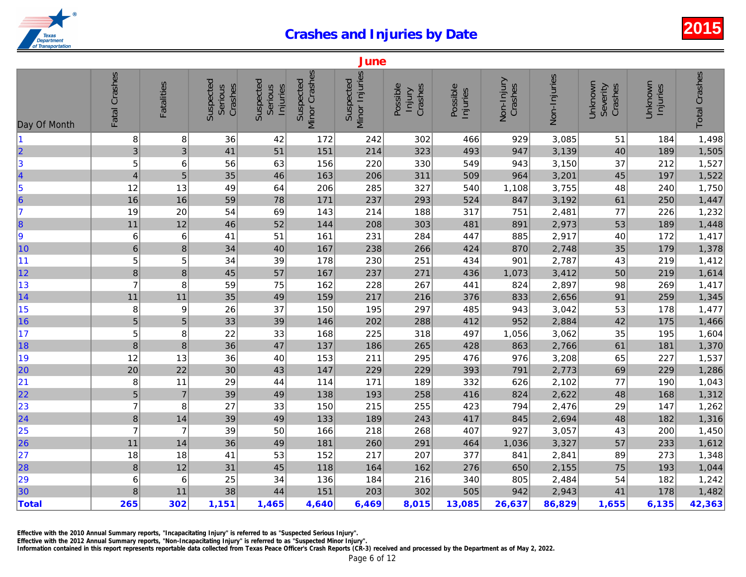| Minor Crashes<br>Fatal Crashes<br>Minor Injuries<br>Non-Injuries<br>Suspected<br>Suspected<br>Suspected<br>Suspected<br>Non-Injury<br><b>Fatalities</b><br>Crashes<br>Crashes<br>Possible<br>Crashes<br>Serious<br>Serious<br>Possible<br>Injuries<br>Injuries<br>Injury<br>Day Of Month<br>8<br>8<br>172<br>242<br>466<br>929<br>3,085<br>11<br>36<br>42<br>302<br>2<br>3<br>4<br>5<br>6<br>7<br>3<br>51<br>151<br>947<br>3,139<br>41<br>214<br>323<br>493<br>$\ensuremath{\mathsf{3}}$<br>5<br>3,150<br>6<br>56<br>63<br>156<br>220<br>330<br>549<br>943<br>5<br>35<br>46<br>964<br>$\overline{\mathcal{A}}$<br>163<br>206<br>311<br>509<br>3,201<br>3,755<br>12<br>13<br>49<br>64<br>206<br>285<br>327<br>540<br>1,108<br>16<br>16<br>59<br>78<br>847<br>3,192<br>171<br>237<br>524<br>293<br>19<br>20<br>54<br>143<br>751<br>2,481<br>69<br>214<br>188<br>317<br>8<br>11<br>12<br>52<br>208<br>481<br>2,973<br>46<br>144<br>303<br>891<br>9<br>$\boldsymbol{6}$<br>231<br>885<br>2,917<br>6<br>51<br>161<br>284<br>447<br>41<br>10<br>$\,$ 6 $\,$<br>8<br>167<br>238<br>2,748<br>34<br>40<br>266<br>424<br>870<br> 11<br>5<br>5<br>34<br>178<br>230<br>434<br>901<br>2,787<br>39<br>251<br> 12 <br>$\bf 8$<br>$\bf8$<br>45<br>57<br>167<br>237<br>271<br>436<br>3,412<br>1,073<br>13<br>$\overline{7}$<br>8<br>59<br>75<br>228<br>824<br>2,897<br>162<br>267<br>441<br> 14<br>2,656<br>11<br>35<br>49<br>159<br>217<br>216<br>376<br>833<br>11<br>15<br>8<br>9<br>26<br>37<br>150<br>195<br>297<br>485<br>943<br>3,042<br>5<br>16<br>$\sqrt{5}$<br>2,884<br>202<br>412<br>952<br>33<br>39<br>146<br>288<br> 17<br>5<br>22<br>3,062<br>8<br>33<br>168<br>225<br>318<br>497<br>1,056<br>18<br>8<br>2,766<br>$\bf 8$<br>36<br>47<br>137<br>186<br>428<br>863<br>265<br>19<br>976<br>3,208<br>12<br>36<br>211<br>295<br>476<br>13<br>40<br>153<br>20<br>22<br>147<br>393<br>2,773<br>20<br>30<br>43<br>229<br>229<br>791<br> 21<br>8<br>29<br>332<br>626<br>2,102<br>171<br>11<br>44<br>114<br>189<br>22<br>$\overline{5}$<br>2,622<br>$\overline{7}$<br>39<br>138<br>193<br>416<br>824<br>49<br>258<br>$\begin{array}{r} \n 23 \\  \hline\n 24\n \end{array}$<br>$\overline{7}$<br>8<br>27<br>33<br>215<br>255<br>423<br>794<br>2,476<br>150<br>$\bf 8$<br>39<br>49<br>189<br>417<br>2,694<br>14<br>133<br>243<br>845<br>$\begin{array}{ c c }\n\hline\n25 \\ \hline\n26\n\end{array}$<br>$\overline{7}$<br>$\overline{7}$<br>39<br>50<br>166<br>218<br>268<br>407<br>927<br>3,057<br>3,327<br>11<br>36<br>49<br>181<br>260<br>291<br>464<br>1,036<br>14<br> 27<br>2,841<br>18<br>18<br>41<br>53<br>152<br>217<br>207<br>377<br>841<br>28<br>2,155<br>$\, 8$<br>12<br>31<br>45<br>118<br>164<br>162<br>276<br>650<br>29<br>30<br>2,484<br>6<br>6<br>25<br>34<br>136<br>184<br>216<br>340<br>805<br>38<br>44<br>505<br>2,943<br>8<br>11<br>151<br>203<br>302<br>942<br><b>Total</b><br>265<br>302<br>1,151<br>4,640<br>6,469<br>8,015<br>13,085<br>26,637<br>86,829<br>1,465 |  |  |  | June |  |  |
|------------------------------------------------------------------------------------------------------------------------------------------------------------------------------------------------------------------------------------------------------------------------------------------------------------------------------------------------------------------------------------------------------------------------------------------------------------------------------------------------------------------------------------------------------------------------------------------------------------------------------------------------------------------------------------------------------------------------------------------------------------------------------------------------------------------------------------------------------------------------------------------------------------------------------------------------------------------------------------------------------------------------------------------------------------------------------------------------------------------------------------------------------------------------------------------------------------------------------------------------------------------------------------------------------------------------------------------------------------------------------------------------------------------------------------------------------------------------------------------------------------------------------------------------------------------------------------------------------------------------------------------------------------------------------------------------------------------------------------------------------------------------------------------------------------------------------------------------------------------------------------------------------------------------------------------------------------------------------------------------------------------------------------------------------------------------------------------------------------------------------------------------------------------------------------------------------------------------------------------------------------------------------------------------------------------------------------------------------------------------------------------------------------------------------------------------------------------------------------------------------------------------------------------------------------------------------------------------------------------------------------------------------------------------------------------------------------------------------------------------------------------------------------------------------------------------------------------------------------------------------------------------------------------------------------------------------------------------------|--|--|--|------|--|--|
|                                                                                                                                                                                                                                                                                                                                                                                                                                                                                                                                                                                                                                                                                                                                                                                                                                                                                                                                                                                                                                                                                                                                                                                                                                                                                                                                                                                                                                                                                                                                                                                                                                                                                                                                                                                                                                                                                                                                                                                                                                                                                                                                                                                                                                                                                                                                                                                                                                                                                                                                                                                                                                                                                                                                                                                                                                                                                                                                                                              |  |  |  |      |  |  |
|                                                                                                                                                                                                                                                                                                                                                                                                                                                                                                                                                                                                                                                                                                                                                                                                                                                                                                                                                                                                                                                                                                                                                                                                                                                                                                                                                                                                                                                                                                                                                                                                                                                                                                                                                                                                                                                                                                                                                                                                                                                                                                                                                                                                                                                                                                                                                                                                                                                                                                                                                                                                                                                                                                                                                                                                                                                                                                                                                                              |  |  |  |      |  |  |
|                                                                                                                                                                                                                                                                                                                                                                                                                                                                                                                                                                                                                                                                                                                                                                                                                                                                                                                                                                                                                                                                                                                                                                                                                                                                                                                                                                                                                                                                                                                                                                                                                                                                                                                                                                                                                                                                                                                                                                                                                                                                                                                                                                                                                                                                                                                                                                                                                                                                                                                                                                                                                                                                                                                                                                                                                                                                                                                                                                              |  |  |  |      |  |  |
|                                                                                                                                                                                                                                                                                                                                                                                                                                                                                                                                                                                                                                                                                                                                                                                                                                                                                                                                                                                                                                                                                                                                                                                                                                                                                                                                                                                                                                                                                                                                                                                                                                                                                                                                                                                                                                                                                                                                                                                                                                                                                                                                                                                                                                                                                                                                                                                                                                                                                                                                                                                                                                                                                                                                                                                                                                                                                                                                                                              |  |  |  |      |  |  |
|                                                                                                                                                                                                                                                                                                                                                                                                                                                                                                                                                                                                                                                                                                                                                                                                                                                                                                                                                                                                                                                                                                                                                                                                                                                                                                                                                                                                                                                                                                                                                                                                                                                                                                                                                                                                                                                                                                                                                                                                                                                                                                                                                                                                                                                                                                                                                                                                                                                                                                                                                                                                                                                                                                                                                                                                                                                                                                                                                                              |  |  |  |      |  |  |
|                                                                                                                                                                                                                                                                                                                                                                                                                                                                                                                                                                                                                                                                                                                                                                                                                                                                                                                                                                                                                                                                                                                                                                                                                                                                                                                                                                                                                                                                                                                                                                                                                                                                                                                                                                                                                                                                                                                                                                                                                                                                                                                                                                                                                                                                                                                                                                                                                                                                                                                                                                                                                                                                                                                                                                                                                                                                                                                                                                              |  |  |  |      |  |  |
|                                                                                                                                                                                                                                                                                                                                                                                                                                                                                                                                                                                                                                                                                                                                                                                                                                                                                                                                                                                                                                                                                                                                                                                                                                                                                                                                                                                                                                                                                                                                                                                                                                                                                                                                                                                                                                                                                                                                                                                                                                                                                                                                                                                                                                                                                                                                                                                                                                                                                                                                                                                                                                                                                                                                                                                                                                                                                                                                                                              |  |  |  |      |  |  |
|                                                                                                                                                                                                                                                                                                                                                                                                                                                                                                                                                                                                                                                                                                                                                                                                                                                                                                                                                                                                                                                                                                                                                                                                                                                                                                                                                                                                                                                                                                                                                                                                                                                                                                                                                                                                                                                                                                                                                                                                                                                                                                                                                                                                                                                                                                                                                                                                                                                                                                                                                                                                                                                                                                                                                                                                                                                                                                                                                                              |  |  |  |      |  |  |
|                                                                                                                                                                                                                                                                                                                                                                                                                                                                                                                                                                                                                                                                                                                                                                                                                                                                                                                                                                                                                                                                                                                                                                                                                                                                                                                                                                                                                                                                                                                                                                                                                                                                                                                                                                                                                                                                                                                                                                                                                                                                                                                                                                                                                                                                                                                                                                                                                                                                                                                                                                                                                                                                                                                                                                                                                                                                                                                                                                              |  |  |  |      |  |  |
|                                                                                                                                                                                                                                                                                                                                                                                                                                                                                                                                                                                                                                                                                                                                                                                                                                                                                                                                                                                                                                                                                                                                                                                                                                                                                                                                                                                                                                                                                                                                                                                                                                                                                                                                                                                                                                                                                                                                                                                                                                                                                                                                                                                                                                                                                                                                                                                                                                                                                                                                                                                                                                                                                                                                                                                                                                                                                                                                                                              |  |  |  |      |  |  |
|                                                                                                                                                                                                                                                                                                                                                                                                                                                                                                                                                                                                                                                                                                                                                                                                                                                                                                                                                                                                                                                                                                                                                                                                                                                                                                                                                                                                                                                                                                                                                                                                                                                                                                                                                                                                                                                                                                                                                                                                                                                                                                                                                                                                                                                                                                                                                                                                                                                                                                                                                                                                                                                                                                                                                                                                                                                                                                                                                                              |  |  |  |      |  |  |
|                                                                                                                                                                                                                                                                                                                                                                                                                                                                                                                                                                                                                                                                                                                                                                                                                                                                                                                                                                                                                                                                                                                                                                                                                                                                                                                                                                                                                                                                                                                                                                                                                                                                                                                                                                                                                                                                                                                                                                                                                                                                                                                                                                                                                                                                                                                                                                                                                                                                                                                                                                                                                                                                                                                                                                                                                                                                                                                                                                              |  |  |  |      |  |  |
|                                                                                                                                                                                                                                                                                                                                                                                                                                                                                                                                                                                                                                                                                                                                                                                                                                                                                                                                                                                                                                                                                                                                                                                                                                                                                                                                                                                                                                                                                                                                                                                                                                                                                                                                                                                                                                                                                                                                                                                                                                                                                                                                                                                                                                                                                                                                                                                                                                                                                                                                                                                                                                                                                                                                                                                                                                                                                                                                                                              |  |  |  |      |  |  |
|                                                                                                                                                                                                                                                                                                                                                                                                                                                                                                                                                                                                                                                                                                                                                                                                                                                                                                                                                                                                                                                                                                                                                                                                                                                                                                                                                                                                                                                                                                                                                                                                                                                                                                                                                                                                                                                                                                                                                                                                                                                                                                                                                                                                                                                                                                                                                                                                                                                                                                                                                                                                                                                                                                                                                                                                                                                                                                                                                                              |  |  |  |      |  |  |
|                                                                                                                                                                                                                                                                                                                                                                                                                                                                                                                                                                                                                                                                                                                                                                                                                                                                                                                                                                                                                                                                                                                                                                                                                                                                                                                                                                                                                                                                                                                                                                                                                                                                                                                                                                                                                                                                                                                                                                                                                                                                                                                                                                                                                                                                                                                                                                                                                                                                                                                                                                                                                                                                                                                                                                                                                                                                                                                                                                              |  |  |  |      |  |  |
|                                                                                                                                                                                                                                                                                                                                                                                                                                                                                                                                                                                                                                                                                                                                                                                                                                                                                                                                                                                                                                                                                                                                                                                                                                                                                                                                                                                                                                                                                                                                                                                                                                                                                                                                                                                                                                                                                                                                                                                                                                                                                                                                                                                                                                                                                                                                                                                                                                                                                                                                                                                                                                                                                                                                                                                                                                                                                                                                                                              |  |  |  |      |  |  |
|                                                                                                                                                                                                                                                                                                                                                                                                                                                                                                                                                                                                                                                                                                                                                                                                                                                                                                                                                                                                                                                                                                                                                                                                                                                                                                                                                                                                                                                                                                                                                                                                                                                                                                                                                                                                                                                                                                                                                                                                                                                                                                                                                                                                                                                                                                                                                                                                                                                                                                                                                                                                                                                                                                                                                                                                                                                                                                                                                                              |  |  |  |      |  |  |
|                                                                                                                                                                                                                                                                                                                                                                                                                                                                                                                                                                                                                                                                                                                                                                                                                                                                                                                                                                                                                                                                                                                                                                                                                                                                                                                                                                                                                                                                                                                                                                                                                                                                                                                                                                                                                                                                                                                                                                                                                                                                                                                                                                                                                                                                                                                                                                                                                                                                                                                                                                                                                                                                                                                                                                                                                                                                                                                                                                              |  |  |  |      |  |  |
|                                                                                                                                                                                                                                                                                                                                                                                                                                                                                                                                                                                                                                                                                                                                                                                                                                                                                                                                                                                                                                                                                                                                                                                                                                                                                                                                                                                                                                                                                                                                                                                                                                                                                                                                                                                                                                                                                                                                                                                                                                                                                                                                                                                                                                                                                                                                                                                                                                                                                                                                                                                                                                                                                                                                                                                                                                                                                                                                                                              |  |  |  |      |  |  |
|                                                                                                                                                                                                                                                                                                                                                                                                                                                                                                                                                                                                                                                                                                                                                                                                                                                                                                                                                                                                                                                                                                                                                                                                                                                                                                                                                                                                                                                                                                                                                                                                                                                                                                                                                                                                                                                                                                                                                                                                                                                                                                                                                                                                                                                                                                                                                                                                                                                                                                                                                                                                                                                                                                                                                                                                                                                                                                                                                                              |  |  |  |      |  |  |
|                                                                                                                                                                                                                                                                                                                                                                                                                                                                                                                                                                                                                                                                                                                                                                                                                                                                                                                                                                                                                                                                                                                                                                                                                                                                                                                                                                                                                                                                                                                                                                                                                                                                                                                                                                                                                                                                                                                                                                                                                                                                                                                                                                                                                                                                                                                                                                                                                                                                                                                                                                                                                                                                                                                                                                                                                                                                                                                                                                              |  |  |  |      |  |  |
|                                                                                                                                                                                                                                                                                                                                                                                                                                                                                                                                                                                                                                                                                                                                                                                                                                                                                                                                                                                                                                                                                                                                                                                                                                                                                                                                                                                                                                                                                                                                                                                                                                                                                                                                                                                                                                                                                                                                                                                                                                                                                                                                                                                                                                                                                                                                                                                                                                                                                                                                                                                                                                                                                                                                                                                                                                                                                                                                                                              |  |  |  |      |  |  |
|                                                                                                                                                                                                                                                                                                                                                                                                                                                                                                                                                                                                                                                                                                                                                                                                                                                                                                                                                                                                                                                                                                                                                                                                                                                                                                                                                                                                                                                                                                                                                                                                                                                                                                                                                                                                                                                                                                                                                                                                                                                                                                                                                                                                                                                                                                                                                                                                                                                                                                                                                                                                                                                                                                                                                                                                                                                                                                                                                                              |  |  |  |      |  |  |
|                                                                                                                                                                                                                                                                                                                                                                                                                                                                                                                                                                                                                                                                                                                                                                                                                                                                                                                                                                                                                                                                                                                                                                                                                                                                                                                                                                                                                                                                                                                                                                                                                                                                                                                                                                                                                                                                                                                                                                                                                                                                                                                                                                                                                                                                                                                                                                                                                                                                                                                                                                                                                                                                                                                                                                                                                                                                                                                                                                              |  |  |  |      |  |  |
|                                                                                                                                                                                                                                                                                                                                                                                                                                                                                                                                                                                                                                                                                                                                                                                                                                                                                                                                                                                                                                                                                                                                                                                                                                                                                                                                                                                                                                                                                                                                                                                                                                                                                                                                                                                                                                                                                                                                                                                                                                                                                                                                                                                                                                                                                                                                                                                                                                                                                                                                                                                                                                                                                                                                                                                                                                                                                                                                                                              |  |  |  |      |  |  |
|                                                                                                                                                                                                                                                                                                                                                                                                                                                                                                                                                                                                                                                                                                                                                                                                                                                                                                                                                                                                                                                                                                                                                                                                                                                                                                                                                                                                                                                                                                                                                                                                                                                                                                                                                                                                                                                                                                                                                                                                                                                                                                                                                                                                                                                                                                                                                                                                                                                                                                                                                                                                                                                                                                                                                                                                                                                                                                                                                                              |  |  |  |      |  |  |
|                                                                                                                                                                                                                                                                                                                                                                                                                                                                                                                                                                                                                                                                                                                                                                                                                                                                                                                                                                                                                                                                                                                                                                                                                                                                                                                                                                                                                                                                                                                                                                                                                                                                                                                                                                                                                                                                                                                                                                                                                                                                                                                                                                                                                                                                                                                                                                                                                                                                                                                                                                                                                                                                                                                                                                                                                                                                                                                                                                              |  |  |  |      |  |  |
|                                                                                                                                                                                                                                                                                                                                                                                                                                                                                                                                                                                                                                                                                                                                                                                                                                                                                                                                                                                                                                                                                                                                                                                                                                                                                                                                                                                                                                                                                                                                                                                                                                                                                                                                                                                                                                                                                                                                                                                                                                                                                                                                                                                                                                                                                                                                                                                                                                                                                                                                                                                                                                                                                                                                                                                                                                                                                                                                                                              |  |  |  |      |  |  |
|                                                                                                                                                                                                                                                                                                                                                                                                                                                                                                                                                                                                                                                                                                                                                                                                                                                                                                                                                                                                                                                                                                                                                                                                                                                                                                                                                                                                                                                                                                                                                                                                                                                                                                                                                                                                                                                                                                                                                                                                                                                                                                                                                                                                                                                                                                                                                                                                                                                                                                                                                                                                                                                                                                                                                                                                                                                                                                                                                                              |  |  |  |      |  |  |
|                                                                                                                                                                                                                                                                                                                                                                                                                                                                                                                                                                                                                                                                                                                                                                                                                                                                                                                                                                                                                                                                                                                                                                                                                                                                                                                                                                                                                                                                                                                                                                                                                                                                                                                                                                                                                                                                                                                                                                                                                                                                                                                                                                                                                                                                                                                                                                                                                                                                                                                                                                                                                                                                                                                                                                                                                                                                                                                                                                              |  |  |  |      |  |  |
|                                                                                                                                                                                                                                                                                                                                                                                                                                                                                                                                                                                                                                                                                                                                                                                                                                                                                                                                                                                                                                                                                                                                                                                                                                                                                                                                                                                                                                                                                                                                                                                                                                                                                                                                                                                                                                                                                                                                                                                                                                                                                                                                                                                                                                                                                                                                                                                                                                                                                                                                                                                                                                                                                                                                                                                                                                                                                                                                                                              |  |  |  |      |  |  |
|                                                                                                                                                                                                                                                                                                                                                                                                                                                                                                                                                                                                                                                                                                                                                                                                                                                                                                                                                                                                                                                                                                                                                                                                                                                                                                                                                                                                                                                                                                                                                                                                                                                                                                                                                                                                                                                                                                                                                                                                                                                                                                                                                                                                                                                                                                                                                                                                                                                                                                                                                                                                                                                                                                                                                                                                                                                                                                                                                                              |  |  |  |      |  |  |

Effective with the 2010 Annual Summary reports, "Incapacitating Injury" is referred to as "Suspected Serious Injury".

Effective with the 2012 Annual Summary reports, "Non-Incapacitating Injury" is referred to as "Suspected Minor Injury".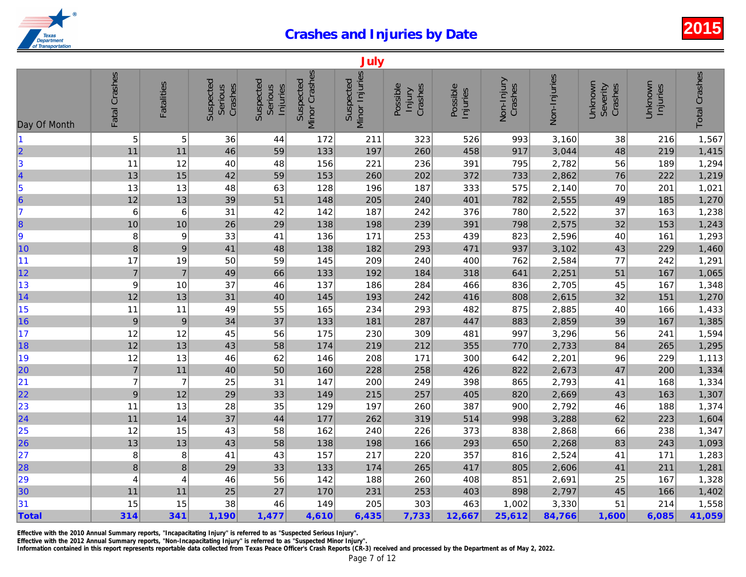|                                                         |                 |                   |                                 |                                  |                            | July                        |                               |                      |                       |              |
|---------------------------------------------------------|-----------------|-------------------|---------------------------------|----------------------------------|----------------------------|-----------------------------|-------------------------------|----------------------|-----------------------|--------------|
| Day Of Month                                            | Fatal Crashes   | <b>Fatalities</b> | Suspected<br>Crashes<br>Serious | Suspected<br>Serious<br>Injuries | Minor Crashes<br>Suspected | Minor Injuries<br>Suspected | Possible<br>Crashes<br>Injury | Possible<br>Injuries | Non-Injury<br>Crashes | Non-Injuries |
| $\blacksquare$                                          | 5               | 5                 | 36                              | 44                               | 172                        | 211                         | 323                           | 526                  | 993                   | 3,160        |
| $\overline{\mathbf{2}}$                                 | 11              | 11                | 46                              | 59                               | 133                        | 197                         | 260                           | 458                  | 917                   | 3,044        |
| $\vert$ 3                                               | 11              | 12                | 40                              | 48                               | 156                        | 221                         | 236                           | 391                  | 795                   | 2,782        |
| $\vert$ 4                                               | 13              | 15                | 42                              | 59                               | 153                        | 260                         | 202                           | 372                  | 733                   | 2,862        |
|                                                         | 13              | 13                | 48                              | 63                               | 128                        | 196                         | 187                           | 333                  | 575                   | 2,140        |
| $\begin{array}{c} 5 \\ 6 \end{array}$                   | 12              | 13                | 39                              | 51                               | 148                        | 205                         | 240                           | 401                  | 782                   | 2,555        |
| 7                                                       | $6\phantom{1}6$ | 6                 | 31                              | 42                               | 142                        | 187                         | 242                           | 376                  | 780                   | 2,522        |
| 8                                                       | 10              | 10                | 26                              | 29                               | 138                        | 198                         | 239                           | 391                  | 798                   | 2,575        |
| 9                                                       | 8               | 9                 | 33                              | 41                               | 136                        | 171                         | 253                           | 439                  | 823                   | 2,596        |
| 10                                                      | 8               | $\boldsymbol{9}$  | 41                              | 48                               | 138                        | 182                         | 293                           | 471                  | 937                   | 3,102        |
| 11                                                      | 17              | 19                | 50                              | 59                               | 145                        | 209                         | 240                           | 400                  | 762                   | 2,584        |
| 12                                                      | $\overline{7}$  | $\overline{7}$    | 49                              | 66                               | 133                        | 192                         | 184                           | 318                  | 641                   | 2,251        |
| 13                                                      | 9               | 10                | 37                              | 46                               | 137                        | 186                         | 284                           | 466                  | 836                   | 2,705        |
| 14                                                      | 12              | 13                | 31                              | 40                               | 145                        | 193                         | 242                           | 416                  | 808                   | 2,615        |
| 15                                                      | 11              | 11                | 49                              | 55                               | 165                        | 234                         | 293                           | 482                  | 875                   | 2,885        |
| 16                                                      | $\overline{9}$  | $\boldsymbol{9}$  | 34                              | 37                               | 133                        | 181                         | 287                           | 447                  | 883                   | 2,859        |
| 17                                                      | 12              | 12                | 45                              | 56                               | 175                        | 230                         | 309                           | 481                  | 997                   | 3,296        |
| 18                                                      | 12              | 13                | 43                              | 58                               | 174                        | 219                         | 212                           | 355                  | 770                   | 2,733        |
| 19                                                      | 12              | 13                | 46                              | 62                               | 146                        | 208                         | 171                           | 300                  | 642                   | 2,201        |
| 20                                                      | $\overline{7}$  | 11                | 40                              | 50                               | 160                        | 228                         | 258                           | 426                  | 822                   | 2,673        |
| 21                                                      | $\overline{7}$  | $\overline{7}$    | 25                              | 31                               | 147                        | 200                         | 249                           | 398                  | 865                   | 2,793        |
| 22                                                      | 9               | 12                | 29                              | 33                               | 149                        | 215                         | 257                           | 405                  | 820                   | 2,669        |
| $\begin{array}{r} \n \boxed{23} \\ \n 24\n \end{array}$ | 11              | 13                | 28                              | 35                               | 129                        | 197                         | 260                           | 387                  | 900                   | 2,792        |
|                                                         | 11              | 14                | 37                              | 44                               | 177                        | 262                         | 319                           | 514                  | 998                   | 3,288        |
| 25                                                      | 12              | 15                | 43                              | 58                               | 162                        | 240                         | 226                           | 373                  | 838                   | 2,868        |
| 26                                                      | 13              | 13                | 43                              | 58                               | 138                        | 198                         | 166                           | 293                  | 650                   | 2,268        |
| 27                                                      | 8               | 8                 | 41                              | 43                               | 157                        | 217                         | 220                           | 357                  | 816                   | 2,524        |
| 28                                                      | $\bf8$          | $\bf8$            | 29                              | 33                               | 133                        | 174                         | 265                           | 417                  | 805                   | 2,606        |
| 29                                                      | 4               | 4                 | 46                              | 56                               | 142                        | 188                         | 260                           | 408                  | 851                   | 2,691        |
| 30                                                      | 11              | 11                | 25                              | 27                               | 170                        | 231                         | 253                           | 403                  | 898                   | 2,797        |
| 31                                                      | 15              | 15                | 38                              | 46                               | 149                        | 205                         | 303                           | 463                  | 1,002                 | 3,330        |
| Total                                                   | 314             | 341               | 1,190                           | 1,477                            | 4,610                      | 6,435                       | 7,733                         | 12,667               | 25,612                | 84,766       |

Effective with the 2010 Annual Summary reports, "Incapacitating Injury" is referred to as "Suspected Serious Injury".

Effective with the 2012 Annual Summary reports, "Non-Incapacitating Injury" is referred to as "Suspected Minor Injury".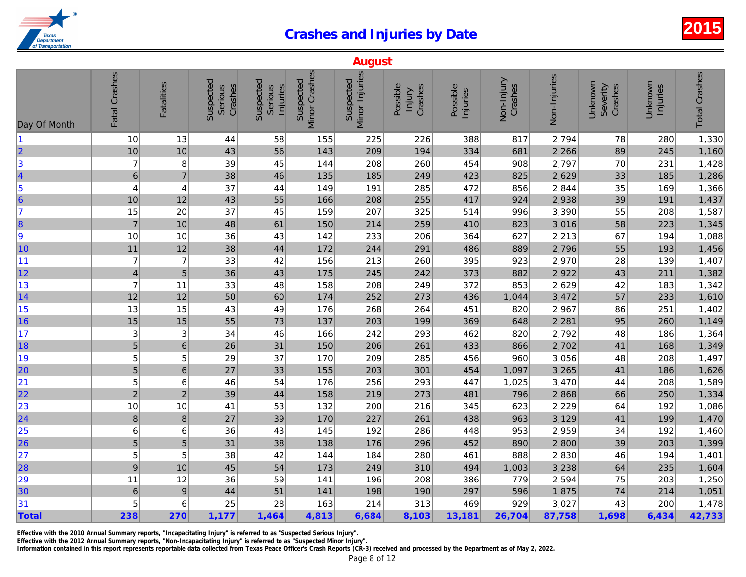|                         |                |                   |                                 |                                                |                            | <b>August</b>               |                               |                      |                       |              |
|-------------------------|----------------|-------------------|---------------------------------|------------------------------------------------|----------------------------|-----------------------------|-------------------------------|----------------------|-----------------------|--------------|
| Day Of Month            | Fatal Crashes  | <b>Fatalities</b> | Suspected<br>Crashes<br>Serious | Suspected<br><b>Serious</b><br><b>Injuries</b> | Minor Crashes<br>Suspected | Minor Injuries<br>Suspected | Possible<br>Crashes<br>Injury | Possible<br>Injuries | Non-Injury<br>Crashes | Non-Injuries |
| 1                       | 10             | 13                | 44                              | 58                                             | 155                        | 225                         | 226                           | 388                  | 817                   | 2,794        |
| $\overline{\mathbf{2}}$ | 10             | 10                | 43                              | 56                                             | 143                        | 209                         | 194                           | 334                  | 681                   | 2,266        |
| 3                       | $\overline{7}$ | 8                 | 39                              | 45                                             | 144                        | 208                         | 260                           | 454                  | 908                   | 2,797        |
| 4                       | $\,6\,$        | $\overline{7}$    | 38                              | 46                                             | 135                        | 185                         | 249                           | 423                  | 825                   | 2,629        |
| 5                       | 4              | 4                 | 37                              | 44                                             | 149                        | 191                         | 285                           | 472                  | 856                   | 2,844        |
| $\overline{\mathbf{6}}$ | 10             | 12                | 43                              | 55                                             | 166                        | 208                         | 255                           | 417                  | 924                   | 2,938        |
| $\overline{7}$          | 15             | 20                | 37                              | 45                                             | 159                        | 207                         | 325                           | 514                  | 996                   | 3,390        |
| $\vert$ 8               | $\overline{7}$ | 10                | 48                              | 61                                             | 150                        | 214                         | 259                           | 410                  | 823                   | 3,016        |
| 9                       | 10             | 10                | 36                              | 43                                             | 142                        | 233                         | 206                           | 364                  | 627                   | 2,213        |
| 10                      | $11$           | 12                | 38                              | 44                                             | 172                        | 244                         | 291                           | 486                  | 889                   | 2,796        |
| 11                      | $\overline{7}$ | $\overline{7}$    | 33                              | 42                                             | 156                        | 213                         | 260                           | 395                  | 923                   | 2,970        |
| 12                      | $\overline{4}$ | 5                 | 36                              | 43                                             | 175                        | 245                         | 242                           | 373                  | 882                   | 2,922        |
| 13                      | $\overline{7}$ | 11                | 33                              | 48                                             | 158                        | 208                         | 249                           | 372                  | 853                   | 2,629        |
| 14                      | 12             | 12                | 50                              | 60                                             | 174                        | 252                         | 273                           | 436                  | 1,044                 | 3,472        |
| 15                      | 13             | 15                | 43                              | 49                                             | 176                        | 268                         | 264                           | 451                  | 820                   | 2,967        |
| 16                      | 15             | 15                | 55                              | 73                                             | 137                        | 203                         | 199                           | 369                  | 648                   | 2,281        |
| 17                      | 3              | 3                 | 34                              | 46                                             | 166                        | 242                         | 293                           | 462                  | 820                   | 2,792        |
| 18                      | $\overline{5}$ | 6                 | 26                              | 31                                             | 150                        | 206                         | 261                           | 433                  | 866                   | 2,702        |
| 19                      | 5              | 5                 | 29                              | 37                                             | 170                        | 209                         | 285                           | 456                  | 960                   | 3,056        |
| 20                      | $\sqrt{5}$     | 6                 | 27                              | 33                                             | 155                        | 203                         | 301                           | 454                  | 1,097                 | 3,265        |
| 21                      | 5              | 6                 | 46                              | 54                                             | 176                        | 256                         | 293                           | 447                  | 1,025                 | 3,470        |
| 22                      | $\overline{c}$ | $\overline{c}$    | 39                              | 44                                             | 158                        | 219                         | 273                           | 481                  | 796                   | 2,868        |
| 23                      | 10             | 10                | 41                              | 53                                             | 132                        | 200                         | 216                           | 345                  | 623                   | 2,229        |
| $\overline{24}$         | $\bf 8$        | $\boldsymbol{8}$  | 27                              | 39                                             | 170                        | 227                         | 261                           | 438                  | 963                   | 3,129        |
| 25                      | 6              | 6                 | 36                              | 43                                             | 145                        | 192                         | 286                           | 448                  | 953                   | 2,959        |
| 26                      | $\overline{5}$ | 5                 | 31                              | 38                                             | 138                        | 176                         | 296                           | 452                  | 890                   | 2,800        |
| 27                      | 5              | 5                 | 38                              | 42                                             | 144                        | 184                         | 280                           | 461                  | 888                   | 2,830        |
| 28                      | $\overline{9}$ | 10                | 45                              | 54                                             | 173                        | 249                         | 310                           | 494                  | 1,003                 | 3,238        |
| 29                      | 11             | 12                | 36                              | 59                                             | 141                        | 196                         | 208                           | 386                  | 779                   | 2,594        |
| 30                      | $\,$ 6 $\,$    | $\overline{9}$    | 44                              | 51                                             | 141                        | 198                         | 190                           | 297                  | 596                   | 1,875        |
| 31                      | 5              | 6                 | 25                              | 28                                             | 163                        | 214                         | 313                           | 469                  | 929                   | 3,027        |
| Total                   | 238            | 270               | 1,177                           | 1,464                                          | 4,813                      | 6,684                       | 8,103                         | 13,181               | 26,704                | 87,758       |

Effective with the 2010 Annual Summary reports, "Incapacitating Injury" is referred to as "Suspected Serious Injury".

Effective with the 2012 Annual Summary reports, "Non-Incapacitating Injury" is referred to as "Suspected Minor Injury".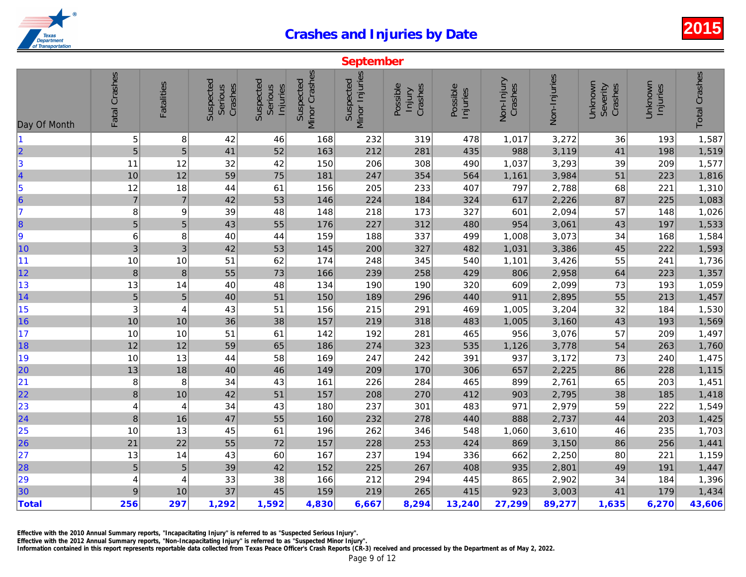|                         | September        |                   |                                 |                                         |                                   |                                    |                               |                      |                       |              |  |  |
|-------------------------|------------------|-------------------|---------------------------------|-----------------------------------------|-----------------------------------|------------------------------------|-------------------------------|----------------------|-----------------------|--------------|--|--|
| Day Of Month            | Fatal Crashes    | <b>Fatalities</b> | Suspected<br>Crashes<br>Serious | Suspected<br>Serious<br><b>Injuries</b> | <b>Minor Crashes</b><br>Suspected | <b>Minor Injuries</b><br>Suspected | Possible<br>Crashes<br>Injury | Possible<br>Injuries | Non-Injury<br>Crashes | Non-Injuries |  |  |
|                         | 5                | $\bf 8$           | 42                              | 46                                      | 168                               | 232                                | 319                           | 478                  | 1,017                 | 3,272        |  |  |
| 2                       | 5                | 5                 | 41                              | 52                                      | 163                               | 212                                | 281                           | 435                  | 988                   | 3,119        |  |  |
| 3                       | 11               | 12                | 32                              | 42                                      | 150                               | 206                                | 308                           | 490                  | 1,037                 | 3,293        |  |  |
| 4                       | 10               | 12                | 59                              | 75                                      | 181                               | 247                                | 354                           | 564                  | 1,161                 | 3,984        |  |  |
| 5                       | 12               | 18                | 44                              | 61                                      | 156                               | 205                                | 233                           | 407                  | 797                   | 2,788        |  |  |
| $\overline{\mathbf{6}}$ | $\overline{7}$   | $\overline{7}$    | 42                              | 53                                      | 146                               | 224                                | 184                           | 324                  | 617                   | 2,226        |  |  |
| $\overline{7}$          | 8                | 9                 | 39                              | 48                                      | 148                               | 218                                | 173                           | 327                  | 601                   | 2,094        |  |  |
| $\vert$ 8               | $\overline{5}$   | 5                 | 43                              | 55                                      | 176                               | 227                                | 312                           | 480                  | 954                   | 3,061        |  |  |
| 9                       | $\,6$            | 8                 | 40                              | 44                                      | 159                               | 188                                | 337                           | 499                  | 1,008                 | 3,073        |  |  |
| 10                      | 3                | 3                 | 42                              | 53                                      | 145                               | 200                                | 327                           | 482                  | 1,031                 | 3,386        |  |  |
| 11                      | 10               | 10                | 51                              | 62                                      | 174                               | 248                                | 345                           | 540                  | 1,101                 | 3,426        |  |  |
| 12                      | 8                | $\boldsymbol{8}$  | 55                              | 73                                      | 166                               | 239                                | 258                           | 429                  | 806                   | 2,958        |  |  |
| 13                      | 13               | 14                | 40                              | 48                                      | 134                               | 190                                | 190                           | 320                  | 609                   | 2,099        |  |  |
| 14                      | $\overline{5}$   | $\sqrt{5}$        | 40                              | 51                                      | 150                               | 189                                | 296                           | 440                  | 911                   | 2,895        |  |  |
| 15                      | 3                | 4                 | 43                              | 51                                      | 156                               | 215                                | 291                           | 469                  | 1,005                 | 3,204        |  |  |
| 16                      | 10               | 10                | 36                              | 38                                      | 157                               | 219                                | 318                           | 483                  | 1,005                 | 3,160        |  |  |
| 17                      | 10               | 10                | 51                              | 61                                      | 142                               | 192                                | 281                           | 465                  | 956                   | 3,076        |  |  |
| 18                      | 12               | 12                | 59                              | 65                                      | 186                               | 274                                | 323                           | 535                  | 1,126                 | 3,778        |  |  |
| 19                      | 10               | 13                | 44                              | 58                                      | 169                               | 247                                | 242                           | 391                  | 937                   | 3,172        |  |  |
| 20                      | 13               | 18                | 40                              | 46                                      | 149                               | 209                                | 170                           | 306                  | 657                   | 2,225        |  |  |
| 21                      | 8                | 8                 | 34                              | 43                                      | 161                               | 226                                | 284                           | 465                  | 899                   | 2,761        |  |  |
| 22                      | $\boldsymbol{8}$ | 10                | 42                              | 51                                      | 157                               | 208                                | 270                           | 412                  | 903                   | 2,795        |  |  |
| 23                      | 4                | 4                 | 34                              | 43                                      | 180                               | 237                                | 301                           | 483                  | 971                   | 2,979        |  |  |
| 24                      | $\bf 8$          | 16                | 47                              | 55                                      | 160                               | 232                                | 278                           | 440                  | 888                   | 2,737        |  |  |
| 25                      | 10               | 13                | 45                              | 61                                      | 196                               | 262                                | 346                           | 548                  | 1,060                 | 3,610        |  |  |
| 26                      | 21               | 22                | 55                              | 72                                      | 157                               | 228                                | 253                           | 424                  | 869                   | 3,150        |  |  |
| 27                      | 13               | 14                | 43                              | 60                                      | 167                               | 237                                | 194                           | 336                  | 662                   | 2,250        |  |  |
| 28                      | $\sqrt{5}$       | $\overline{5}$    | 39                              | 42                                      | 152                               | 225                                | 267                           | 408                  | 935                   | 2,801        |  |  |
| 29                      | 4                | 4                 | 33                              | 38                                      | 166                               | 212                                | 294                           | 445                  | 865                   | 2,902        |  |  |
| 30                      | $\boldsymbol{9}$ | 10                | 37                              | 45                                      | 159                               | 219                                | 265                           | 415                  | 923                   | 3,003        |  |  |
| <b>Total</b>            | 256              | 297               | 1,292                           | 1,592                                   | 4,830                             | 6,667                              | 8,294                         | 13,240               | 27,299                | 89,277       |  |  |

Effective with the 2010 Annual Summary reports, "Incapacitating Injury" is referred to as "Suspected Serious Injury".

Effective with the 2012 Annual Summary reports, "Non-Incapacitating Injury" is referred to as "Suspected Minor Injury".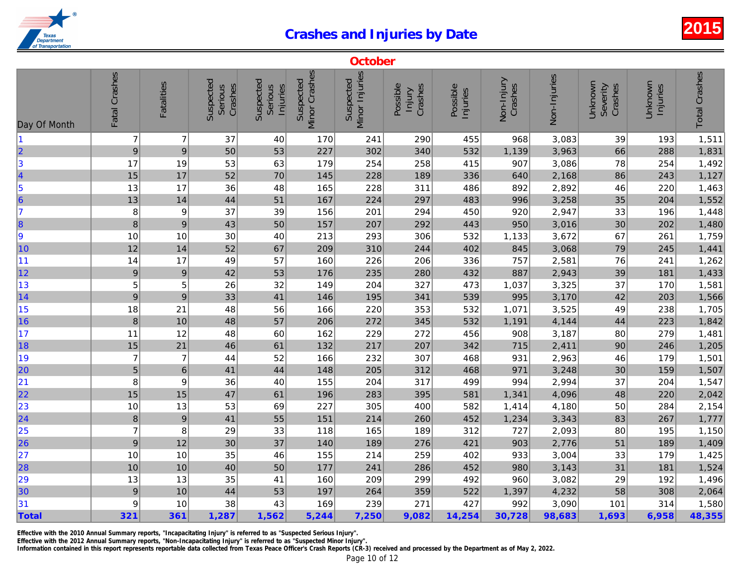|                                                               | October        |                   |                                 |                                  |                            |                             |                               |                      |                       |              |  |
|---------------------------------------------------------------|----------------|-------------------|---------------------------------|----------------------------------|----------------------------|-----------------------------|-------------------------------|----------------------|-----------------------|--------------|--|
| Day Of Month                                                  | Fatal Crashes  | <b>Fatalities</b> | Suspected<br>Crashes<br>Serious | Suspected<br>Serious<br>Injuries | Minor Crashes<br>Suspected | Minor Injuries<br>Suspected | Possible<br>Crashes<br>Injury | Possible<br>Injuries | Non-Injury<br>Crashes | Non-Injuries |  |
| 11                                                            | $\overline{7}$ | $\overline{7}$    | 37                              | 40                               | 170                        | 241                         | 290                           | 455                  | 968                   | 3,083        |  |
| $\begin{array}{c} \n 2 \\  3\n \end{array}$                   | 9              | 9                 | 50                              | 53                               | 227                        | 302                         | 340                           | 532                  | 1,139                 | 3,963        |  |
|                                                               | 17             | 19                | 53                              | 63                               | 179                        | 254                         | 258                           | 415                  | 907                   | 3,086        |  |
| 4                                                             | 15             | 17                | 52                              | 70                               | 145                        | 228                         | 189                           | 336                  | 640                   | 2,168        |  |
|                                                               | 13             | 17                | 36                              | 48                               | 165                        | 228                         | 311                           | 486                  | 892                   | 2,892        |  |
| $\begin{array}{c} 5 \\ 6 \end{array}$                         | 13             | 14                | 44                              | 51                               | 167                        | 224                         | 297                           | 483                  | 996                   | 3,258        |  |
| 17                                                            | 8              | 9                 | 37                              | 39                               | 156                        | 201                         | 294                           | 450                  | 920                   | 2,947        |  |
| 8                                                             | 8              | $\boldsymbol{9}$  | 43                              | 50                               | 157                        | 207                         | 292                           | 443                  | 950                   | 3,016        |  |
| 9                                                             | 10             | 10                | 30                              | 40                               | 213                        | 293                         | 306                           | 532                  | 1,133                 | 3,672        |  |
| 10                                                            | 12             | 14                | 52                              | 67                               | 209                        | 310                         | 244                           | 402                  | 845                   | 3,068        |  |
| 11                                                            | 14             | 17                | 49                              | 57                               | 160                        | 226                         | 206                           | 336                  | 757                   | 2,581        |  |
| 12                                                            | 9              | $\boldsymbol{9}$  | 42                              | 53                               | 176                        | 235                         | 280                           | 432                  | 887                   | 2,943        |  |
| 13                                                            | 5              | 5                 | 26                              | 32                               | 149                        | 204                         | 327                           | 473                  | 1,037                 | 3,325        |  |
| 14                                                            | 9              | $\boldsymbol{9}$  | 33                              | 41                               | 146                        | 195                         | 341                           | 539                  | 995                   | 3,170        |  |
| 15                                                            | 18             | 21                | 48                              | 56                               | 166                        | 220                         | 353                           | 532                  | 1,071                 | 3,525        |  |
| 16                                                            | $\bf 8$        | 10                | 48                              | 57                               | 206                        | 272                         | 345                           | 532                  | 1,191                 | 4,144        |  |
| 17                                                            | 11             | 12                | 48                              | 60                               | 162                        | 229                         | 272                           | 456                  | 908                   | 3,187        |  |
| 18                                                            | 15             | 21                | 46                              | 61                               | 132                        | 217                         | 207                           | 342                  | 715                   | 2,411        |  |
| 19                                                            | $\overline{7}$ | $\overline{7}$    | 44                              | 52                               | 166                        | 232                         | 307                           | 468                  | 931                   | 2,963        |  |
| 20                                                            | 5              | $\,$ 6 $\,$       | 41                              | 44                               | 148                        | 205                         | 312                           | 468                  | 971                   | 3,248        |  |
| 21                                                            | 8              | 9                 | 36                              | 40                               | 155                        | 204                         | 317                           | 499                  | 994                   | 2,994        |  |
| 22                                                            | 15             | 15                | 47                              | 61                               | 196                        | 283                         | 395                           | 581                  | 1,341                 | 4,096        |  |
| 23                                                            | 10             | 13                | 53                              | 69                               | 227                        | 305                         | 400                           | 582                  | 1,414                 | 4,180        |  |
| $\overline{24}$                                               | 8              | $\boldsymbol{9}$  | 41                              | 55                               | 151                        | 214                         | 260                           | 452                  | 1,234                 | 3,343        |  |
| $\begin{array}{ c c }\n\hline\n25 \\ \hline\n26\n\end{array}$ | $\overline{7}$ | 8                 | 29                              | 33                               | 118                        | 165                         | 189                           | 312                  | 727                   | 2,093        |  |
|                                                               | 9              | 12                | 30                              | 37                               | 140                        | 189                         | 276                           | 421                  | 903                   | 2,776        |  |
| 27                                                            | 10             | 10                | 35                              | 46                               | 155                        | 214                         | 259                           | 402                  | 933                   | 3,004        |  |
| 28                                                            | 10             | 10                | 40                              | 50                               | 177                        | 241                         | 286                           | 452                  | 980                   | 3,143        |  |
| 29                                                            | 13             | 13                | 35                              | 41                               | 160                        | 209                         | 299                           | 492                  | 960                   | 3,082        |  |
| 30                                                            | 9              | 10                | 44                              | 53                               | 197                        | 264                         | 359                           | 522                  | 1,397                 | 4,232        |  |
| 31                                                            | 9              | 10                | 38                              | 43                               | 169                        | 239                         | 271                           | 427                  | 992                   | 3,090        |  |
| Total                                                         | 321            | 361               | 1,287                           | 1,562                            | 5,244                      | 7,250                       | 9,082                         | 14,254               | 30,728                | 98,683       |  |

Effective with the 2010 Annual Summary reports, "Incapacitating Injury" is referred to as "Suspected Serious Injury".

Effective with the 2012 Annual Summary reports, "Non-Incapacitating Injury" is referred to as "Suspected Minor Injury".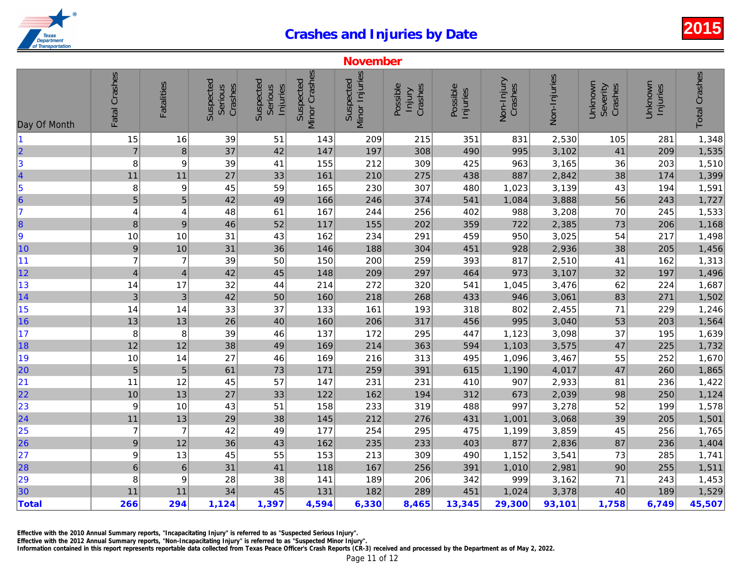| <b>Minor Crashes</b><br>Fatal Crashes<br><b>Minor Injuries</b><br>Non-Injuries<br>Suspected<br>Suspected<br>Suspected<br>Suspected<br>Non-Injury<br><b>Fatalities</b><br>Crashes<br>Crashes<br>Possible<br>Crashes<br>Serious<br>Possible<br>Serious<br>Injuries<br>Injury<br>Injuries<br>15<br>16<br>39<br>215<br>351<br>2,530<br>51<br>143<br>209<br>831<br>$\overline{7}$<br>$\bf{8}$<br>37<br>42<br>147<br>308<br>490<br>995<br>3,102<br>197<br>3<br>3,165<br>8<br>9<br>39<br>155<br>212<br>309<br>425<br>963<br>41<br>11<br>27<br>33<br>161<br>210<br>887<br>2,842<br>11<br>275<br>438<br>3,139<br>8<br>9<br>45<br>59<br>165<br>230<br>307<br>480<br>1,023<br>$\overline{5}$<br>5<br>42<br>49<br>166<br>374<br>541<br>1,084<br>3,888<br>246<br>3,208<br>48<br>61<br>167<br>244<br>256<br>402<br>988<br>4<br>4<br>2,385<br>$\boldsymbol{8}$<br>$9$<br>46<br>52<br>117<br>155<br>202<br>359<br>722<br>10<br>10<br>31<br>43<br>162<br>234<br>291<br>459<br>950<br>3,025<br>36<br>928<br>2,936<br>9<br>10<br>31<br>146<br>188<br>304<br>451<br>$\overline{7}$<br>817<br>$\overline{7}$<br>39<br>393<br>2,510<br>50<br>150<br>200<br>259<br>3,107<br>$\overline{4}$<br>42<br>45<br>209<br>297<br>464<br>973<br>4<br>148<br>32<br>214<br>272<br>1,045<br>3,476<br>14<br>17<br>44<br>320<br>541<br>$\mathbf{3}$<br>3,061<br>$\ensuremath{\mathsf{3}}$<br>42<br>160<br>218<br>946<br>50<br>268<br>433<br>14<br>33<br>37<br>161<br>802<br>2,455<br>14<br>133<br>193<br>318<br>13<br>26<br>3,040<br>13<br>40<br>160<br>206<br>317<br>456<br>995<br>8<br>39<br>3,098<br>8<br>137<br>172<br>295<br>447<br>1,123<br>46<br>12<br>12<br>38<br>214<br>3,575<br>49<br>169<br>363<br>594<br>1,103<br>27<br>1,096<br>3,467<br>10<br>14<br>46<br>169<br>216<br>313<br>495<br>4,017<br>$\sqrt{5}$<br>$\sqrt{5}$<br>61<br>171<br>391<br>73<br>259<br>615<br>1,190<br>11<br>12<br>45<br>57<br>231<br>907<br>2,933<br>147<br>231<br>410<br>10<br>13<br>27<br>122<br>162<br>194<br>312<br>2,039<br>33<br>673<br>3,278<br>9<br>10<br>43<br>51<br>158<br>233<br>319<br>488<br>997<br>3,068<br>$11$<br>13<br>29<br>38<br>145<br>212<br>431<br>276<br>1,001<br>$\overline{7}$<br>$\overline{7}$<br>42<br>49<br>177<br>3,859<br>254<br>295<br>475<br>1,199<br>$\boldsymbol{9}$<br>12<br>36<br>43<br>162<br>877<br>2,836<br>235<br>233<br>403<br>9<br>13<br>45<br>55<br>153<br>213<br>309<br>490<br>3,541<br>1,152<br>$\overline{6}$<br>$6\phantom{1}6$<br>31<br>41<br>167<br>2,981<br>118<br>256<br>391<br>1,010<br>8<br>9<br>28<br>38<br>999<br>3,162<br>141<br>189<br>206<br>342<br>11<br>34<br>45<br>182<br>3,378<br>11<br>131<br>289<br>451<br>1,024<br>266<br>6,330<br>8,465<br>13,345<br>29,300<br>294<br>1,124<br>1,397<br>4,594<br>93,101 |                         |  |  | <b>November</b> |  |  |
|--------------------------------------------------------------------------------------------------------------------------------------------------------------------------------------------------------------------------------------------------------------------------------------------------------------------------------------------------------------------------------------------------------------------------------------------------------------------------------------------------------------------------------------------------------------------------------------------------------------------------------------------------------------------------------------------------------------------------------------------------------------------------------------------------------------------------------------------------------------------------------------------------------------------------------------------------------------------------------------------------------------------------------------------------------------------------------------------------------------------------------------------------------------------------------------------------------------------------------------------------------------------------------------------------------------------------------------------------------------------------------------------------------------------------------------------------------------------------------------------------------------------------------------------------------------------------------------------------------------------------------------------------------------------------------------------------------------------------------------------------------------------------------------------------------------------------------------------------------------------------------------------------------------------------------------------------------------------------------------------------------------------------------------------------------------------------------------------------------------------------------------------------------------------------------------------------------------------------------------------------------------------------------------------------------------------------------------------------------------------------------------------------------------------------------------------------------------------------------------------------------------------------------------------------------------------------------------------------------------------------------------------------------------------------------------------------------------------------|-------------------------|--|--|-----------------|--|--|
|                                                                                                                                                                                                                                                                                                                                                                                                                                                                                                                                                                                                                                                                                                                                                                                                                                                                                                                                                                                                                                                                                                                                                                                                                                                                                                                                                                                                                                                                                                                                                                                                                                                                                                                                                                                                                                                                                                                                                                                                                                                                                                                                                                                                                                                                                                                                                                                                                                                                                                                                                                                                                                                                                                                          | Day Of Month            |  |  |                 |  |  |
|                                                                                                                                                                                                                                                                                                                                                                                                                                                                                                                                                                                                                                                                                                                                                                                                                                                                                                                                                                                                                                                                                                                                                                                                                                                                                                                                                                                                                                                                                                                                                                                                                                                                                                                                                                                                                                                                                                                                                                                                                                                                                                                                                                                                                                                                                                                                                                                                                                                                                                                                                                                                                                                                                                                          |                         |  |  |                 |  |  |
|                                                                                                                                                                                                                                                                                                                                                                                                                                                                                                                                                                                                                                                                                                                                                                                                                                                                                                                                                                                                                                                                                                                                                                                                                                                                                                                                                                                                                                                                                                                                                                                                                                                                                                                                                                                                                                                                                                                                                                                                                                                                                                                                                                                                                                                                                                                                                                                                                                                                                                                                                                                                                                                                                                                          | $\vert$ 2               |  |  |                 |  |  |
|                                                                                                                                                                                                                                                                                                                                                                                                                                                                                                                                                                                                                                                                                                                                                                                                                                                                                                                                                                                                                                                                                                                                                                                                                                                                                                                                                                                                                                                                                                                                                                                                                                                                                                                                                                                                                                                                                                                                                                                                                                                                                                                                                                                                                                                                                                                                                                                                                                                                                                                                                                                                                                                                                                                          |                         |  |  |                 |  |  |
|                                                                                                                                                                                                                                                                                                                                                                                                                                                                                                                                                                                                                                                                                                                                                                                                                                                                                                                                                                                                                                                                                                                                                                                                                                                                                                                                                                                                                                                                                                                                                                                                                                                                                                                                                                                                                                                                                                                                                                                                                                                                                                                                                                                                                                                                                                                                                                                                                                                                                                                                                                                                                                                                                                                          | 4                       |  |  |                 |  |  |
|                                                                                                                                                                                                                                                                                                                                                                                                                                                                                                                                                                                                                                                                                                                                                                                                                                                                                                                                                                                                                                                                                                                                                                                                                                                                                                                                                                                                                                                                                                                                                                                                                                                                                                                                                                                                                                                                                                                                                                                                                                                                                                                                                                                                                                                                                                                                                                                                                                                                                                                                                                                                                                                                                                                          | $\vert$ 5               |  |  |                 |  |  |
|                                                                                                                                                                                                                                                                                                                                                                                                                                                                                                                                                                                                                                                                                                                                                                                                                                                                                                                                                                                                                                                                                                                                                                                                                                                                                                                                                                                                                                                                                                                                                                                                                                                                                                                                                                                                                                                                                                                                                                                                                                                                                                                                                                                                                                                                                                                                                                                                                                                                                                                                                                                                                                                                                                                          | $\overline{\mathbf{6}}$ |  |  |                 |  |  |
|                                                                                                                                                                                                                                                                                                                                                                                                                                                                                                                                                                                                                                                                                                                                                                                                                                                                                                                                                                                                                                                                                                                                                                                                                                                                                                                                                                                                                                                                                                                                                                                                                                                                                                                                                                                                                                                                                                                                                                                                                                                                                                                                                                                                                                                                                                                                                                                                                                                                                                                                                                                                                                                                                                                          | 7                       |  |  |                 |  |  |
|                                                                                                                                                                                                                                                                                                                                                                                                                                                                                                                                                                                                                                                                                                                                                                                                                                                                                                                                                                                                                                                                                                                                                                                                                                                                                                                                                                                                                                                                                                                                                                                                                                                                                                                                                                                                                                                                                                                                                                                                                                                                                                                                                                                                                                                                                                                                                                                                                                                                                                                                                                                                                                                                                                                          | $\vert$ 8               |  |  |                 |  |  |
|                                                                                                                                                                                                                                                                                                                                                                                                                                                                                                                                                                                                                                                                                                                                                                                                                                                                                                                                                                                                                                                                                                                                                                                                                                                                                                                                                                                                                                                                                                                                                                                                                                                                                                                                                                                                                                                                                                                                                                                                                                                                                                                                                                                                                                                                                                                                                                                                                                                                                                                                                                                                                                                                                                                          | 9                       |  |  |                 |  |  |
|                                                                                                                                                                                                                                                                                                                                                                                                                                                                                                                                                                                                                                                                                                                                                                                                                                                                                                                                                                                                                                                                                                                                                                                                                                                                                                                                                                                                                                                                                                                                                                                                                                                                                                                                                                                                                                                                                                                                                                                                                                                                                                                                                                                                                                                                                                                                                                                                                                                                                                                                                                                                                                                                                                                          | 10                      |  |  |                 |  |  |
|                                                                                                                                                                                                                                                                                                                                                                                                                                                                                                                                                                                                                                                                                                                                                                                                                                                                                                                                                                                                                                                                                                                                                                                                                                                                                                                                                                                                                                                                                                                                                                                                                                                                                                                                                                                                                                                                                                                                                                                                                                                                                                                                                                                                                                                                                                                                                                                                                                                                                                                                                                                                                                                                                                                          | 11                      |  |  |                 |  |  |
|                                                                                                                                                                                                                                                                                                                                                                                                                                                                                                                                                                                                                                                                                                                                                                                                                                                                                                                                                                                                                                                                                                                                                                                                                                                                                                                                                                                                                                                                                                                                                                                                                                                                                                                                                                                                                                                                                                                                                                                                                                                                                                                                                                                                                                                                                                                                                                                                                                                                                                                                                                                                                                                                                                                          | 12                      |  |  |                 |  |  |
|                                                                                                                                                                                                                                                                                                                                                                                                                                                                                                                                                                                                                                                                                                                                                                                                                                                                                                                                                                                                                                                                                                                                                                                                                                                                                                                                                                                                                                                                                                                                                                                                                                                                                                                                                                                                                                                                                                                                                                                                                                                                                                                                                                                                                                                                                                                                                                                                                                                                                                                                                                                                                                                                                                                          | 13                      |  |  |                 |  |  |
|                                                                                                                                                                                                                                                                                                                                                                                                                                                                                                                                                                                                                                                                                                                                                                                                                                                                                                                                                                                                                                                                                                                                                                                                                                                                                                                                                                                                                                                                                                                                                                                                                                                                                                                                                                                                                                                                                                                                                                                                                                                                                                                                                                                                                                                                                                                                                                                                                                                                                                                                                                                                                                                                                                                          | 14                      |  |  |                 |  |  |
|                                                                                                                                                                                                                                                                                                                                                                                                                                                                                                                                                                                                                                                                                                                                                                                                                                                                                                                                                                                                                                                                                                                                                                                                                                                                                                                                                                                                                                                                                                                                                                                                                                                                                                                                                                                                                                                                                                                                                                                                                                                                                                                                                                                                                                                                                                                                                                                                                                                                                                                                                                                                                                                                                                                          | 15                      |  |  |                 |  |  |
|                                                                                                                                                                                                                                                                                                                                                                                                                                                                                                                                                                                                                                                                                                                                                                                                                                                                                                                                                                                                                                                                                                                                                                                                                                                                                                                                                                                                                                                                                                                                                                                                                                                                                                                                                                                                                                                                                                                                                                                                                                                                                                                                                                                                                                                                                                                                                                                                                                                                                                                                                                                                                                                                                                                          | 16                      |  |  |                 |  |  |
|                                                                                                                                                                                                                                                                                                                                                                                                                                                                                                                                                                                                                                                                                                                                                                                                                                                                                                                                                                                                                                                                                                                                                                                                                                                                                                                                                                                                                                                                                                                                                                                                                                                                                                                                                                                                                                                                                                                                                                                                                                                                                                                                                                                                                                                                                                                                                                                                                                                                                                                                                                                                                                                                                                                          | 17                      |  |  |                 |  |  |
|                                                                                                                                                                                                                                                                                                                                                                                                                                                                                                                                                                                                                                                                                                                                                                                                                                                                                                                                                                                                                                                                                                                                                                                                                                                                                                                                                                                                                                                                                                                                                                                                                                                                                                                                                                                                                                                                                                                                                                                                                                                                                                                                                                                                                                                                                                                                                                                                                                                                                                                                                                                                                                                                                                                          | 18                      |  |  |                 |  |  |
|                                                                                                                                                                                                                                                                                                                                                                                                                                                                                                                                                                                                                                                                                                                                                                                                                                                                                                                                                                                                                                                                                                                                                                                                                                                                                                                                                                                                                                                                                                                                                                                                                                                                                                                                                                                                                                                                                                                                                                                                                                                                                                                                                                                                                                                                                                                                                                                                                                                                                                                                                                                                                                                                                                                          | 19                      |  |  |                 |  |  |
|                                                                                                                                                                                                                                                                                                                                                                                                                                                                                                                                                                                                                                                                                                                                                                                                                                                                                                                                                                                                                                                                                                                                                                                                                                                                                                                                                                                                                                                                                                                                                                                                                                                                                                                                                                                                                                                                                                                                                                                                                                                                                                                                                                                                                                                                                                                                                                                                                                                                                                                                                                                                                                                                                                                          | 20                      |  |  |                 |  |  |
|                                                                                                                                                                                                                                                                                                                                                                                                                                                                                                                                                                                                                                                                                                                                                                                                                                                                                                                                                                                                                                                                                                                                                                                                                                                                                                                                                                                                                                                                                                                                                                                                                                                                                                                                                                                                                                                                                                                                                                                                                                                                                                                                                                                                                                                                                                                                                                                                                                                                                                                                                                                                                                                                                                                          | 21                      |  |  |                 |  |  |
|                                                                                                                                                                                                                                                                                                                                                                                                                                                                                                                                                                                                                                                                                                                                                                                                                                                                                                                                                                                                                                                                                                                                                                                                                                                                                                                                                                                                                                                                                                                                                                                                                                                                                                                                                                                                                                                                                                                                                                                                                                                                                                                                                                                                                                                                                                                                                                                                                                                                                                                                                                                                                                                                                                                          | 22                      |  |  |                 |  |  |
|                                                                                                                                                                                                                                                                                                                                                                                                                                                                                                                                                                                                                                                                                                                                                                                                                                                                                                                                                                                                                                                                                                                                                                                                                                                                                                                                                                                                                                                                                                                                                                                                                                                                                                                                                                                                                                                                                                                                                                                                                                                                                                                                                                                                                                                                                                                                                                                                                                                                                                                                                                                                                                                                                                                          | 23                      |  |  |                 |  |  |
|                                                                                                                                                                                                                                                                                                                                                                                                                                                                                                                                                                                                                                                                                                                                                                                                                                                                                                                                                                                                                                                                                                                                                                                                                                                                                                                                                                                                                                                                                                                                                                                                                                                                                                                                                                                                                                                                                                                                                                                                                                                                                                                                                                                                                                                                                                                                                                                                                                                                                                                                                                                                                                                                                                                          | 24                      |  |  |                 |  |  |
|                                                                                                                                                                                                                                                                                                                                                                                                                                                                                                                                                                                                                                                                                                                                                                                                                                                                                                                                                                                                                                                                                                                                                                                                                                                                                                                                                                                                                                                                                                                                                                                                                                                                                                                                                                                                                                                                                                                                                                                                                                                                                                                                                                                                                                                                                                                                                                                                                                                                                                                                                                                                                                                                                                                          | 25                      |  |  |                 |  |  |
|                                                                                                                                                                                                                                                                                                                                                                                                                                                                                                                                                                                                                                                                                                                                                                                                                                                                                                                                                                                                                                                                                                                                                                                                                                                                                                                                                                                                                                                                                                                                                                                                                                                                                                                                                                                                                                                                                                                                                                                                                                                                                                                                                                                                                                                                                                                                                                                                                                                                                                                                                                                                                                                                                                                          | 26                      |  |  |                 |  |  |
|                                                                                                                                                                                                                                                                                                                                                                                                                                                                                                                                                                                                                                                                                                                                                                                                                                                                                                                                                                                                                                                                                                                                                                                                                                                                                                                                                                                                                                                                                                                                                                                                                                                                                                                                                                                                                                                                                                                                                                                                                                                                                                                                                                                                                                                                                                                                                                                                                                                                                                                                                                                                                                                                                                                          | 27                      |  |  |                 |  |  |
|                                                                                                                                                                                                                                                                                                                                                                                                                                                                                                                                                                                                                                                                                                                                                                                                                                                                                                                                                                                                                                                                                                                                                                                                                                                                                                                                                                                                                                                                                                                                                                                                                                                                                                                                                                                                                                                                                                                                                                                                                                                                                                                                                                                                                                                                                                                                                                                                                                                                                                                                                                                                                                                                                                                          | 28                      |  |  |                 |  |  |
|                                                                                                                                                                                                                                                                                                                                                                                                                                                                                                                                                                                                                                                                                                                                                                                                                                                                                                                                                                                                                                                                                                                                                                                                                                                                                                                                                                                                                                                                                                                                                                                                                                                                                                                                                                                                                                                                                                                                                                                                                                                                                                                                                                                                                                                                                                                                                                                                                                                                                                                                                                                                                                                                                                                          | 29                      |  |  |                 |  |  |
|                                                                                                                                                                                                                                                                                                                                                                                                                                                                                                                                                                                                                                                                                                                                                                                                                                                                                                                                                                                                                                                                                                                                                                                                                                                                                                                                                                                                                                                                                                                                                                                                                                                                                                                                                                                                                                                                                                                                                                                                                                                                                                                                                                                                                                                                                                                                                                                                                                                                                                                                                                                                                                                                                                                          | 30                      |  |  |                 |  |  |
|                                                                                                                                                                                                                                                                                                                                                                                                                                                                                                                                                                                                                                                                                                                                                                                                                                                                                                                                                                                                                                                                                                                                                                                                                                                                                                                                                                                                                                                                                                                                                                                                                                                                                                                                                                                                                                                                                                                                                                                                                                                                                                                                                                                                                                                                                                                                                                                                                                                                                                                                                                                                                                                                                                                          | <b>Total</b>            |  |  |                 |  |  |

Effective with the 2010 Annual Summary reports, "Incapacitating Injury" is referred to as "Suspected Serious Injury".

Effective with the 2012 Annual Summary reports, "Non-Incapacitating Injury" is referred to as "Suspected Minor Injury".